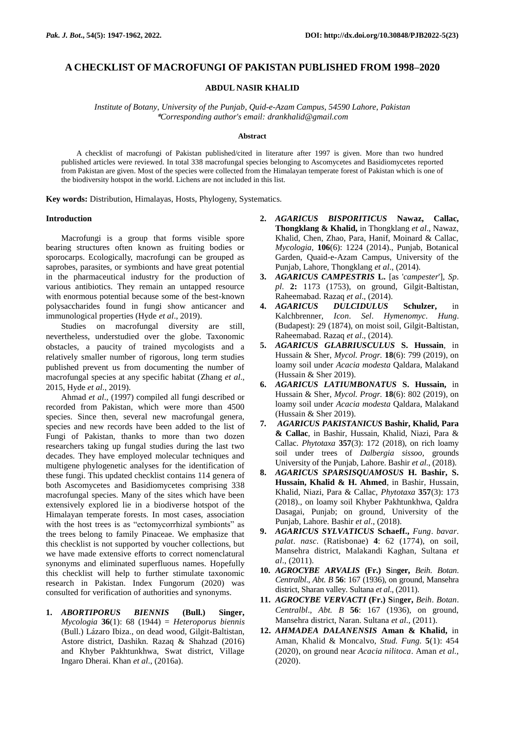# **A CHECKLIST OF MACROFUNGI OF PAKISTAN PUBLISHED FROM 1998–2020**

## **ABDUL NASIR KHALID**

*Institute of Botany*, *University of the Punjab*, *Quid-e-Azam Campus*, *54590 Lahore*, *Pakistan* \**Corresponding author's email: drankhalid@gmail.com*

#### **Abstract**

A checklist of macrofungi of Pakistan published/cited in literature after 1997 is given. More than two hundred published articles were reviewed. In total 338 macrofungal species belonging to Ascomycetes and Basidiomycetes reported from Pakistan are given. Most of the species were collected from the Himalayan temperate forest of Pakistan which is one of the biodiversity hotspot in the world. Lichens are not included in this list.

**Key words:** Distribution, Himalayas, Hosts, Phylogeny, Systematics.

#### **Introduction**

Macrofungi is a group that forms visible spore bearing structures often known as fruiting bodies or sporocarps. Ecologically, macrofungi can be grouped as saprobes, parasites, or symbionts and have great potential in the pharmaceutical industry for the production of various antibiotics. They remain an untapped resource with enormous potential because some of the best-known polysaccharides found in fungi show anticancer and immunological properties (Hyde *et al*., 2019).

Studies on macrofungal diversity are still, nevertheless, understudied over the globe. Taxonomic obstacles, a paucity of trained mycologists and a relatively smaller number of rigorous, long term studies published prevent us from documenting the number of macrofungal species at any specific habitat (Zhang *et al*., 2015, Hyde *et al*., 2019).

Ahmad *et al*., (1997) compiled all fungi described or recorded from Pakistan, which were more than 4500 species. Since then, several new macrofungal genera, species and new records have been added to the list of Fungi of Pakistan, thanks to more than two dozen researchers taking up fungal studies during the last two decades. They have employed molecular techniques and multigene phylogenetic analyses for the identification of these fungi. This updated checklist contains 114 genera of both Ascomycetes and Basidiomycetes comprising 338 macrofungal species. Many of the sites which have been extensively explored lie in a biodiverse hotspot of the Himalayan temperate forests. In most cases, association with the host trees is as "ectomycorrhizal symbionts" as the trees belong to family Pinaceae. We emphasize that this checklist is not supported by voucher collections, but we have made extensive efforts to correct nomenclatural synonyms and eliminated superfluous names. Hopefully this checklist will help to further stimulate taxonomic research in Pakistan. Index Fungorum (2020) was consulted for verification of authorities and synonyms.

**1.** *ABORTIPORUS BIENNIS* **(Bull.) Singer,**  *Mycologia* **36**(1): 68 (1944) = *Heteroporus biennis* (Bull.) Lázaro Ibiza., on dead wood, Gilgit-Baltistan, Astore district, Dashikn. Razaq & Shahzad (2016) and Khyber Pakhtunkhwa, Swat district, Village Ingaro Dherai. Khan *et al*., (2016a).

- **2.** *AGARICUS BISPORITICUS* **Nawaz, Callac, Thongklang & Khalid,** in Thongklang *et al*., Nawaz, Khalid, Chen, Zhao, Para, Hanif, Moinard & Callac, *Mycologia*, **106**(6): 1224 (2014)., Punjab, Botanical Garden, Quaid-e-Azam Campus, University of the Punjab, Lahore, Thongklang *et al*., (2014).
- **3.** *AGARICUS CAMPESTRIS* **L.** [as '*campester*'], *Sp*. *pl*. **2:** 1173 (1753), on ground, Gilgit-Baltistan, Raheemabad. Razaq *et al*., (2014).
- **4.** *AGARICUS DULCIDULUS* **Schulzer,** in Kalchbrenner, *Icon*. *Sel*. *Hymenomyc*. *Hung*. (Budapest): 29 (1874), on moist soil, Gilgit-Baltistan, Raheemabad. Razaq *et al*., (2014).
- **5.** *AGARICUS GLABRIUSCULUS* **S. Hussain**, in Hussain & Sher, *Mycol. Progr.* **18**(6): 799 (2019), on loamy soil under *Acacia modesta* Qaldara, Malakand (Hussain & Sher 2019).
- **6.** *AGARICUS LATIUMBONATUS* **S. Hussain,** in Hussain & Sher, *Mycol. Progr.* **18**(6): 802 (2019), on loamy soil under *Acacia modesta* Qaldara, Malakand (Hussain & Sher 2019).
- **7.** *AGARICUS PAKISTANICUS* **Bashir, Khalid, Para & Callac**, in Bashir, Hussain, Khalid, Niazi, Para & Callac. *Phytotaxa* **357**(3): 172 (2018), on rich loamy soil under trees of *Dalbergia sissoo*, grounds University of the Punjab, Lahore. Bashir *et al*., (2018).
- **8.** *AGARICUS SPARSISQUAMOSUS* **H. Bashir, S. Hussain, Khalid & H. Ahmed**, in Bashir, Hussain, Khalid, Niazi, Para & Callac, *Phytotaxa* **357**(3): 173 (2018)., on loamy soil Khyber Pakhtunkhwa, Qaldra Dasagai, Punjab; on ground, University of the Punjab, Lahore. Bashir *et al*., (2018).
- **9.** *[AGARICUS](http://www.indexfungorum.org/Names/Names.asp?strGenus=Agaricus) SYLVATICUS* **Schaeff.,** *Fung*. *bavar*. *palat*. *nasc*. (Ratisbonae) **4**: 62 (1774), on soil, Mansehra district, Malakandi Kaghan, Sultana *et al*., (2011).
- **10.** *AGROCYBE ARVALIS* **(Fr.) S**in**ger,** *Beih*. *Botan*. *Centralbl*., *Abt. B* **56**: 167 (1936), on ground, Mansehra district, Sharan valley. Sultana *et al*., (2011).
- **11.** *AGROCYBE VERVACTI* **(Fr.) S**in**ger,** *Beih*. *Botan*. *Centralbl*., *Abt. B* **56**: 167 (1936), on ground, Mansehra district, Naran. Sultana *et al*., (2011).
- **12.** *AHMADEA DALANENSIS* **Aman & Khalid,** in Aman, Khalid & Moncalvo, *Stud. Fung.* **5**(1): 454 (2020), on ground near *Acacia nilitoca*. Aman *et al.,*  (2020).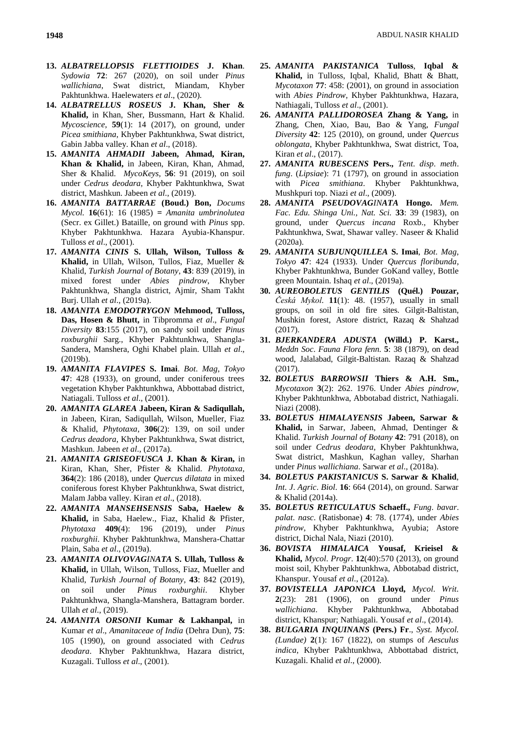- **13.** *ALBATRELLOPSIS FLETTIOIDES* **J. Khan**. *Sydowia* **72**: 267 (2020), on soil under *Pinus wallichiana*, Swat district, Miandam, Khyber Pakhtunkhwa. Haelewaters *et al*., (2020).
- **14.** *ALBATRELLUS ROSEUS* **J. Khan, Sher & Khalid,** in Khan, Sher, Bussmann, Hart & Khalid. *Mycoscience*, **59**(1): 14 (2017), on ground, under *Picea smithiana*, Khyber Pakhtunkhwa, Swat district, Gabin Jabba valley. Khan *et al*., (2018).
- **15.** *AMANITA AHMADII* **Jabeen, Ahmad, Kiran, Khan & Khalid,** in Jabeen, Kiran, Khan, Ahmad, Sher & Khalid. *MycoKeys*, **56**: 91 (2019), on soil under *Cedrus deodara*, Khyber Pakhtunkhwa, Swat district, Mashkun. Jabeen *et al*., (2019).
- **16.** *AMANITA BATTARRAE* **(Boud.) Bon,** *Docums Mycol.* **16**(61): 16 (1985) **=** *Amanita umbrinolutea* (Secr. ex Gillet.) Bataille, on ground with *Pinus* spp. Khyber Pakhtunkhwa. Hazara Ayubia-Khanspur. Tulloss *et al*., (2001).
- **17.** *AMANITA CINIS* **S. Ullah, Wilson, Tulloss & Khalid,** in Ullah, Wilson, Tullos, Fiaz, Mueller & Khalid, *Turkish Journal of Botany*, **43**: 839 (2019), in mixed forest under *Abies pindrow*, Khyber Pakhtunkhwa, Shangla district, Ajmir, Sham Takht Burj. Ullah *et al*., (2019a).
- **18.** *AMANITA EMODOTRYGON* **Mehmood, Tulloss, Das, Hosen & Bhutt,** in Tibpromma *et al*., *Fungal Diversity* **83**:155 (2017), on sandy soil under *Pinus roxburghii* Sarg., Khyber Pakhtunkhwa, Shangla-Sandera, Manshera, Oghi Khabel plain. Ullah *et al*., (2019b).
- **19.** *AMANITA FLAVIPES* **S. Imai**. *Bot*. *Mag*, *Tokyo* **47**: 428 (1933), on ground, under coniferous trees vegetation Khyber Pakhtunkhwa, Abbottabad district, Natiagali. Tulloss *et al*., (2001).
- **20.** *AMANITA GLAREA* **Jabeen, Kiran & Sadiqullah,**  in Jabeen, Kiran, Sadiqullah, Wilson, Mueller, Fiaz & Khalid, *Phytotaxa*, **306**(2): 139, on soil under *Cedrus deadora*, Khyber Pakhtunkhwa, Swat district, Mashkun. Jabeen *et al*., (2017a).
- **21.** *AMANITA GRISEOFUSCA* **J. Khan & Kiran,** in Kiran, Khan, Sher, Pfister & Khalid. *Phytotaxa*, **364**(2): 186 (2018), under *Quercus dilatata* in mixed coniferous forest Khyber Pakhtunkhwa, Swat district, Malam Jabba valley. Kiran *et al*., (2018).
- **22.** *AMANITA MANSEHSENSIS* **Saba, Haelew & Khalid,** in Saba, Haelew., Fiaz, Khalid & Pfister, *Phytotaxa* **409**(4): 196 (2019), under *Pinus roxburghii*. Khyber Pakhtunkhwa, Manshera-Chattar Plain, Saba *et al*., (2019a).
- **23.** *AMANITA OLIVOVAGINATA* **S. Ullah, Tulloss & Khalid,** in Ullah, Wilson, Tulloss, Fiaz, Mueller and Khalid, *Turkish Journal of Botany*, **43**: 842 (2019), on soil under *Pinus roxburghii*. Khyber Pakhtunkhwa, Shangla-Manshera, Battagram border. Ullah *et al*., (2019).
- **24.** *AMANITA ORSONII* **Kumar & Lakhanpal,** in Kumar *et al*., *Amanitaceae of India* (Dehra Dun), **75**: 105 (1990), on ground associated with *Cedrus deodara*. Khyber Pakhtunkhwa, Hazara district, Kuzagali. Tulloss *et al*., (2001).
- **25.** *AMANITA PAKISTANICA* **Tulloss**, **Iqbal & Khalid,** in Tulloss, Iqbal, Khalid, Bhatt & Bhatt, *Mycotaxon* **77**: 458: (2001), on ground in association with *Abies Pindrow*, Khyber Pakhtunkhwa, Hazara, Nathiagali, Tulloss *et al*., (2001).
- **26.** *AMANITA PALLIDOROSEA* **Zhang & Yang,** in Zhang, Chen, Xiao, Bau, Bao & Yang, *Fungal Diversity* **42**: 125 (2010), on ground, under *Quercus oblongata*, Khyber Pakhtunkhwa, Swat district, Toa, Kiran *et al*., (2017).
- **27.** *AMANITA RUBESCENS* **Pers.,** *Tent*. *disp*. *meth*. *fung*. (*Lipsiae*): 71 (1797), on ground in association with *Picea smithiana*. Khyber Pakhtunkhwa, Mushkpuri top. Niazi *et al*., (2009).
- **28.** *AMANITA PSEUDOVAGINATA* **Hongo.** *Mem. Fac. Edu. Shinga Uni., Nat. Sci.* **33**: 39 (1983), on ground, under *Quercus incana* Roxb., Khyber Pakhtunkhwa, Swat, Shawar valley. Naseer & Khalid (2020a).
- **29.** *AMANITA SUBJUNQUILLEA* **S. Imai**, *Bot*. *Mag*, *Tokyo* **47**: 424 (1933). Under *Quercus floribunda*, Khyber Pakhtunkhwa, Bunder GoKand valley, Bottle green Mountain. Ishaq *et al*., (2019a).
- **30.** *AUREOBOLETUS GENTILIS* **(Quél.) Pouzar,** *Česká Mykol*. **11**(1): 48. (1957), usually in small groups, on soil in old fire sites. Gilgit-Baltistan, Mushkin forest, Astore district, Razaq & Shahzad (2017).
- **31.** *BJERKANDERA ADUSTA* **(Willd.) P. Karst.,**  *Meddn Soc*. *Fauna Flora fenn*. **5**: 38 (1879), on dead wood, Jalalabad, Gilgit-Baltistan. Razaq & Shahzad (2017).
- **32.** *BOLETUS BARROWSII* **Thiers & A.H. Sm.,** *Mycotaxon* **3**(2): 262. 1976. Under *Abies pindrow*, Khyber Pakhtunkhwa, Abbotabad district, Nathiagali. Niazi (2008).
- **33.** *BOLETUS HIMALAYENSIS* **Jabeen, Sarwar & Khalid,** in Sarwar, Jabeen, Ahmad, Dentinger & Khalid. *Turkish Journal of Botany* **42**: 791 (2018), on soil under *Cedrus deodara*, Khyber Pakhtunkhwa, Swat district, Mashkun, Kaghan valley, Sharhan under *Pinus wallichiana*. Sarwar *et al*., (2018a).
- **34.** *BOLETUS PAKISTANICUS* **S. Sarwar & Khalid**, *Int*. *J*. *Agric*. *Biol*. **16**: 664 (2014), on ground. Sarwar & Khalid (2014a).
- **35.** *BOLETUS RETICULATUS* **Schaeff.,** *Fung*. *bavar*. *palat*. *nasc*. (Ratisbonae) **4**: 78. (1774), under *Abies pindrow*, Khyber Pakhtunkhwa, Ayubia; Astore district, Dichal Nala, Niazi (2010).
- **36.** *BOVISTA HIMALAICA* **Yousaf, Krieisel & Khalid,** *Mycol*. *Progr*. **12**(40):570 (2013), on ground moist soil, Khyber Pakhtunkhwa, Abbotabad district, Khanspur. Yousaf *et al*., (2012a).
- **37.** *BOVISTELLA JAPONICA* **Lloyd,** *Mycol*. *Writ*. **2**(23): 281 (1906), on ground under *Pinus wallichiana*. Khyber Pakhtunkhwa, Abbotabad district, Khanspur; Nathiagali. Yousaf *et al*., (2014).
- **38.** *BULGARIA INQUINANS* **(Pers.) Fr**., *Syst. Mycol. (Lundae)* **2**(1): 167 (1822), on stumps of *Aesculus indica*, Khyber Pakhtunkhwa, Abbottabad district, Kuzagali. Khalid *et al*., (2000).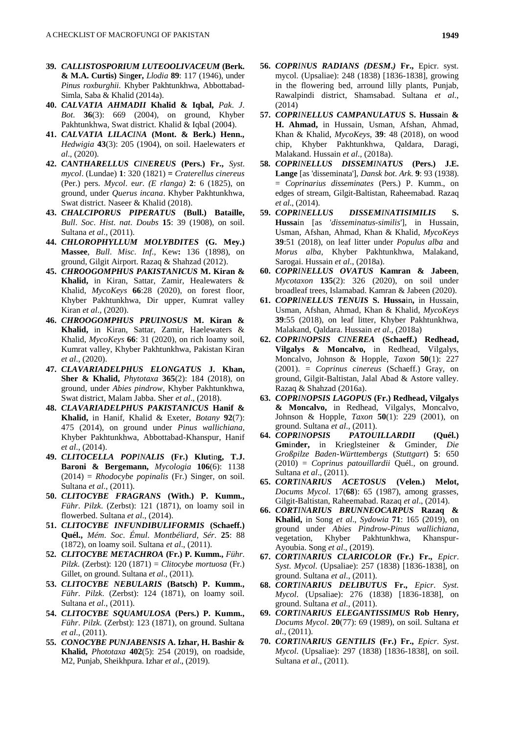- **39.** *CALLISTOSPORIUM LUTEOOLIVACEUM* **(Berk. & M.A. Curtis) S**in**ger,** *Llodia* **89**: 117 (1946), under *Pinus roxburghii*. Khyber Pakhtunkhwa, Abbottabad-Simla, Saba & Khalid (2014a).
- **40.** *CALVATIA AHMADII* **Khalid & Iqbal,** *Pak*. *J*. *Bot*. **36**(3): 669 (2004), on ground, Khyber Pakhtunkhwa, Swat district. Khalid & Iqbal (2004).
- **41.** *CALVATIA LILACINA* **(Mont. & Berk.) Henn.,**  *Hedwigia* **43**(3): 205 (1904), on soil. Haelewaters *et al*., (2020).
- **42.** *CANTHARELLUS CINEREUS* **(Pers.) Fr.,** *Syst*. *mycol*. (Lundae) **1**: 320 (1821) **=** *Craterellus cinereus* (Per.) pers. *Mycol*. e*ur. (E rlanga)* **2**: 6 (1825), on ground, under *Querus incana*. Khyber Pakhtunkhwa, Swat district. Naseer & Khalid (2018).
- **43.** *CHALCIPORUS PIPERATUS* **(Bull.) Bataille,**  *Bull*. *Soc*. *Hist*. *nat*. *Doubs* **15**: 39 (1908), on soil. Sultana *et al*., (2011).
- **44.** *CHLOROPHYLLUM MOLYBDITES* **(G. Mey.) Massee**, *Bull*. *Misc*. *Inf*., Kew**:** 136 (1898), on ground, Gilgit Airport. Razaq & Shahzad (2012).
- **45.** *CHROOGOMPHUS PAKISTANICUS* **M. Kiran & Khalid,** in Kiran, Sattar, Zamir, Healewaters & Khalid, *MycoKeys* **66**:28 (2020), on forest floor, Khyber Pakhtunkhwa, Dir upper, Kumrat valley Kiran *et al*., (2020).
- **46.** *CHROOGOMPHUS PRUINOSUS* **M. Kiran & Khalid,** in Kiran, Sattar, Zamir, Haelewaters & Khalid, *MycoKeys* **66**: 31 (2020), on rich loamy soil, Kumrat valley, Khyber Pakhtunkhwa, Pakistan Kiran *et al*., (2020).
- **47.** *CLAVARIADELPHUS ELONGATUS* **J. Khan, Sher & Khalid,** *Phytotaxa* **365**(2): 184 (2018), on ground, under *Abies pindrow*, Khyber Pakhtunkhwa, Swat district, Malam Jabba. Sher *et al*., (2018).
- **48.** *CLAVARIADELPHUS PAKISTANICUS* **Hanif & Khalid,** in Hanif, Khalid & Exeter, *Botany* **92**(7): 475 (2014), on ground under *Pinus wallichiana*, Khyber Pakhtunkhwa, Abbottabad-Khanspur, Hanif *et al*., (2014).
- **49.** *CLITOCELLA POPINALIS* **(Fr.) Klut**in**g, T.J. Baroni & Bergemann,** *Mycologia* **106**(6): 1138 (2014) = *Rhodocybe popinalis* (Fr.) Singer, on soil. Sultana *et al*., (2011).
- **50.** *CLITOCYBE FRAGRANS* **(With.) P. Kumm.,**  *Führ*. *Pilzk*. (Zerbst): 121 (1871), on loamy soil in flowerbed. Sultana *et al*., (2014).
- **51.** *CLITOCYBE INFUNDIBULIFORMIS* **(Schaeff.) Quél.,** *Mém*. *Soc*. *Émul*. *Montbéliard*, *Sér*. **25**: 88 (1872), on loamy soil. Sultana *et al*., (2011).
- **52.** *CLITOCYBE METACHROA* **(Fr.) P. Kumm.,** *Führ*. *Pilzk*. (Zerbst): 120 (1871) = *Clitocybe mortuosa* (Fr.) Gillet, on ground. Sultana *et al*., (2011).
- **53.** *CLITOCYBE NEBULARIS* **(Batsch) P. Kumm.,**  *Führ*. *Pilzk*. (Zerbst): 124 (1871), on loamy soil. Sultana *et al*., (2011).
- **54.** *CLITOCYBE SQUAMULOSA* **(Pers.) P. Kumm.,**  *Führ*. *Pilzk*. (Zerbst): 123 (1871), on ground. Sultana *et al*., (2011).
- **55.** *CONOCYBE PUNJABENSIS* **A. Izhar, H. Bashir & Khalid,** *Phototaxa* **402**(5): 254 (2019), on roadside, M2, Punjab, Sheikhpura. Izhar *et al*., (2019).
- **56.** *COPRINUS RADIANS (DESM***.***)* **Fr.,** Epicr. syst. mycol. (Upsaliae): 248 (1838) [1836-1838], growing in the flowering bed, arround lilly plants, Punjab, Rawalpindi district, Shamsabad. Sultana *et al*., (2014)
- **57.** *COPRINELLUS CAMPANULATUS* **S. Hussa**in **& H. Ahmad,** in Hussain, Usman, Afshan, Ahmad, Khan & Khalid, *MycoKeys*, **39**: 48 (2018), on wood chip, Khyber Pakhtunkhwa, Qaldara, Daragi, Malakand. Hussain *et al*., (2018a).
- **58.** *COPRINELLUS DISSEMINATUS* **(Pers.) J.E. Lange** [as 'disseminata'], *Dansk bot*. *Ark*. **9**: 93 (1938). = *Coprinarius disseminates* (Pers.) P. Kumm., on edges of stream, Gilgit-Baltistan, Raheemabad. Razaq *et al*., (2014).
- **59.** *COPRINELLUS DISSEMINATISIMILIS* **S. Hussa**in [as '*disseminatus*-*similis*'], in Hussain, Usman, Afshan, Ahmad, Khan & Khalid, *MycoKeys* **39**:51 (2018), on leaf litter under *Populus alba* and *Morus alba*, Khyber Pakhtunkhwa, Malakand, Sarogai. Hussain *et al*., (2018a).
- **60.** *COPRINELLUS OVATUS* **Kamran & Jabeen**, *Mycotaxon* **135**(2): 326 (2020), on soil under broadleaf trees, Islamabad. Kamran & Jabeen (2020).
- **61.** *COPRINELLUS TENUIS* **S. Hussa**in**,** in Hussain, Usman, Afshan, Ahmad, Khan & Khalid, *MycoKeys* **39**:55 (2018), on leaf litter, Khyber Pakhtunkhwa, Malakand, Qaldara. Hussain *et al*., (2018a)
- **62.** *COPRINOPSIS CINEREA* **(Schaeff.) Redhead, Vilgalys & Moncalvo,** in Redhead, Vilgalys, Moncalvo, Johnson & Hopple, *Taxon* **50**(1): 227 (2001). = *Coprinus cinereus* (Schaeff.) Gray, on ground, Gilgit-Baltistan, Jalal Abad & Astore valley. Razaq & Shahzad (2016a).
- **63.** *COPRINOPSIS LAGOPUS* **(Fr.) Redhead, Vilgalys & Moncalvo,** in Redhead, Vilgalys, Moncalvo, Johnson & Hopple, *Taxon* **50**(1): 229 (2001), on ground. Sultana *et al*., (2011).
- **64.** *COPRINOPSIS PATOUILLARDII* **(Quél.) Gm**in**der,** in Krieglsteiner & Gminder, *Die Großpilze Baden-Württembergs* (*Stuttgart*) **5**: 650 (2010) = *Coprinus patouillardii* Quél., on ground. Sultana *et al*., (2011).
- **65.** *CORTINARIUS ACETOSUS* **(Velen.) Melot,**  *Docums Mycol*. 17(**68**): 65 (1987), among grasses, Gilgit-Baltistan, Raheemabad. Razaq *et al*., (2014).
- **66.** *CORTINARIUS BRUNNEOCARPUS* **Razaq & Khalid,** in Song *et al*., *Sydowia* **71**: 165 (2019), on ground under *Abies Pindrow-Pinus wallichiana*, vegetation, Khyber Pakhtunkhwa, Khanspur-Ayoubia. Song *et al*., (2019).
- **67.** *CORTINARIUS CLARICOLOR* **(Fr.) Fr.,** *Epicr*. *Syst*. *Mycol*. (Upsaliae): 257 (1838) [1836-1838], on ground. Sultana *et al*., (2011).
- **68.** *CORTINARIUS DELIBUTUS* **Fr.,** *Epicr*. *Syst*. *Mycol*. (Upsaliae): 276 (1838) [1836-1838], on ground. Sultana *et al*., (2011).
- **69.** *CORTINARIUS ELEGANTISSIMUS* **Rob Henry,**  *Docums Mycol*. **20**(77): 69 (1989), on soil. Sultana *et al*., (2011).
- **70.** *CORTINARIUS GENTILIS* **(Fr.) Fr.,** *Epicr*. *Syst*. *Mycol*. (Upsaliae): 297 (1838) [1836-1838], on soil. Sultana *et al*., (2011).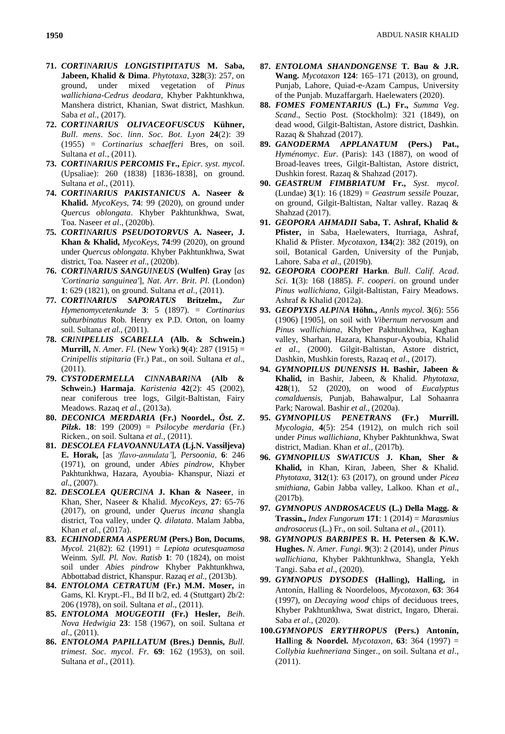- **71.** *CORTINARIUS LONGISTIPITATUS* **M. Saba, Jabeen, Khalid & Dima**. *Phytotaxa*, **328**(3): 257, on ground, under mixed vegetation of *Pinus wallichiana-Cedrus deodara*, Khyber Pakhtunkhwa, Manshera district, Khanian, Swat district, Mashkun. Saba *et al*., (2017).
- **72.** *CORTINARIUS OLIVACEOFUSCUS* **Kühner,** *Bull*. *mens*. *Soc*. *linn*. *Soc*. *Bot*. *Lyon* **24**(2): 39 (1955) = *Cortinarius schaefferi* Bres, on soil. Sultana *et al*., (2011).
- **73.** *CORTINARIUS PERCOMIS* **Fr.,** *Epicr*. *syst*. *mycol*. (Upsaliae): 260 (1838) [1836-1838], on ground. Sultana *et al*., (2011).
- **74.** *CORTINARIUS PAKISTANICUS* **A. Naseer & Khalid.** *MycoKeys*, **74**: 99 (2020), on ground under *Quercus oblongata*. Khyber Pakhtunkhwa, Swat, Toa. Naseer *et al*., (2020b).
- **75.** *CORTINARIUS PSEUDOTORVUS* **A. Naseer, J. Khan & Khalid,** *MycoKeys*, **74**:99 (2020), on ground under *Quercus oblongata*. Khyber Pakhtunkhwa, Swat district, Toa. Naseer *et al*., (2020b).
- **76.** *CORTINARIUS SANGUINEUS* **(Wulfen) Gray** [*as 'Cortinaria sanguinea'*], *Nat*. *Arr*. *Brit*. *Pl*. (London) **1**: 629 (1821), on ground. Sultana *et al*., (2011).
- **77.** *CORTINARIUS SAPORATUS* **Britzelm.,** *Zur Hymenomycetenkunde* **3**: 5 (1897). = *Cortinarius subturbinatus* Rob. Henry ex P.D. Orton, on loamy soil. Sultana *et al*., (2011).
- **78.** *CRINIPELLIS SCABELLA* **(Alb. & Schwein.) Murrill,** *N*. *Amer*. *Fl*. (New York) **9**(4): 287 (1915) = *Crinipellis stipitaria* (Fr.) Pat., on soil. Sultana *et al*., (2011).
- **79.** *CYSTODERMELLA CINNABARINA* **(Alb & Schwe**in**.) Harmaja**. *Karistenia* **42**(2): 45 (2002), near coniferous tree logs, Gilgit-Baltistan, Fairy Meadows. Razaq *et al*., (2013a).
- **80.** *DECONICA MERDARIA* **(Fr.) Noordel.,** *Öst***.** *Z***.** *Pilzk***. 18**: 199 (2009) = *Psilocybe merdaria* (Fr.) Ricken., on soil. Sultana *et al*., (2011).
- **81.** *DESCOLEA FLAVOANNULATA* **(Lj.N. Vassiljeva) E. Horak,** [as *'flavo-annulata'*], *Persoonia*, **6**: 246 (1971), on ground, under *Abies pindrow*, Khyber Pakhtunkhwa, Hazara, Ayoubia- Khanspur, Niazi *et al*., (2007).
- **82.** *DESCOLEA QUERCINA* **J. Khan & Naseer**, in Khan, Sher, Naseer & Khalid. *MycoKeys*, **27**: 65-76 (2017), on ground, under *Querus incana* shangla district, Toa valley, under *Q*. *dilatata*. Malam Jabba, Khan *et al*., (2017a).
- **83.** *ECHINODERMA ASPERUM* **(Pers.) Bon, Docums***, Mycol.* 21(82): 62 (1991) = *Lepiota acutesquamosa* Weinm*. Syll. Pl. Nov. Ratisb* **1**: 70 (1824), on moist soil under *Abies pindrow* Khyber Pakhtunkhwa, Abbottabad district, Khanspur. Razaq *et al.,* (2013b).
- **84.** *ENTOLOMA CETRATUM* **(Fr.) M.M. Moser,** in Gams, Kl. Krypt.-Fl., Bd II b/2, ed. 4 (Stuttgart) 2b/2: 206 (1978), on soil. Sultana *et al*., (2011).
- **85.** *ENTOLOMA MOUGEOTII* **(Fr.) Hesler,** *Beih*. *Nova Hedwigia* **23**: 158 (1967), on soil. Sultana *et al*., (2011).
- **86.** *ENTOLOMA PAPILLATUM* **(Bres.) Dennis,** *Bull*. *trimest*. *Soc*. *mycol*. *Fr*. **69**: 162 (1953), on soil. Sultana *et al*., (2011).
- **87.** *ENTOLOMA SHANDONGENSE* **T. Bau & J.R. Wang.** *Mycotaxon* **124**: 165–171 (2013), on ground, Punjab, Lahore, Quiad-e-Azam Campus, University of the Punjab. Muzaffargarh. Haelewaters (2020).
- **88.** *FOMES FOMENTARIUS* **(L.) Fr.,** *Summa Veg*. *Scand*., Sectio Post. (Stockholm): 321 (1849), on dead wood, Gilgit-Baltistan, Astore district, Dashkin. Razaq & Shahzad (2017).
- **89.** *GANODERMA APPLANATUM* **(Pers.) Pat.,**  *Hyménomyc*. *Eur*. (Paris): 143 (1887), on wood of Broad-leaves trees, Gilgit-Baltistan, Astore district, Dushkin forest. Razaq & Shahzad (2017).
- **90.** *GEASTRUM FIMBRIATUM* **Fr.,** *Syst*. *mycol*. (Lundae) **3**(1): 16 (1829) = *Geastrum sessile* Pouzar, on ground, Gilgit-Baltistan, Naltar valley. Razaq & Shahzad (2017).
- **91.** *GEOPORA AHMADII* **Saba, T. Ashraf, Khalid & Pfister,** in Saba, Haelewaters, Iturriaga, Ashraf, Khalid & Pfister. *Mycotaxon*, **134**(2): 382 (2019), on soil, Botanical Garden, University of the Punjab, Lahore. Saba *et al*., (2019b).
- **92.** *GEOPORA COOPERI* **Harkn**. *Bull*. *Calif*. *Acad*. *Sci*. **1**(3): 168 (1885). *F*. *cooperi*. on ground under *Pinus wallichiana*, Gilgit-Baltistan, Fairy Meadows. Ashraf & Khalid (2012a).
- **93.** *GEOPYXIS ALPINA* **Höhn.,** *Annls mycol.* **3**(6): 556 (1906) [1905], on soil with *Vibernum nervosum* and *Pinus wallichiana*, Khyber Pakhtunkhwa, Kaghan valley, Sharhan, Hazara, Khanspur-Ayoubia, Khalid *et al*., (2000). Gilgit-Baltistan, Astore district, Dashkin, Mushkin forests, Razaq *et al*., (2017).
- **94.** *GYMNOPILUS DUNENSIS* **H. Bashir, Jabeen & Khalid,** in Bashir, Jabeen, & Khalid. *Phytotaxa*, **428**(1), 52 (2020), on wood of *Eucalyptus comalduensis*, Punjab, Bahawalpur, Lal Sohaanra Park; Narowal. Bashir *et al*., (2020a).
- **95.** *GYMNOPILUS PENETRANS* **(Fr.) Murrill.** *Mycologia*, **4**(5): 254 (1912), on mulch rich soil under *Pinus wallichiana*, Khyber Pakhtunkhwa, Swat district, Madian. Khan *et al*., (2017b).
- **96.** *GYMNOPILUS SWATICUS* **J. Khan, Sher & Khalid,** in Khan, Kiran, Jabeen, Sher & Khalid. *Phytotaxa*, **312**(1): 63 (2017), on ground under *Picea smithiana*, Gabin Jabba valley, Lalkoo. Khan *et al*., (2017b).
- **97.** *GYMNOPUS ANDROSACEUS* **(L.) Della Magg. & Trassin.,** *Index Fungorum* **171**: 1 (2014) = *Marasmius androsaceus* (L.) Fr., on soil. Sultana *et al*., (2011).
- **98.** *GYMNOPUS BARBIPES* **R. H. Petersen & K.W. Hughes.** *N*. *Amer*. *Fungi*. **9**(3): 2 (2014), under *Pinus wallichiana*, Khyber Pakhtunkhwa, Shangla, Yekh Tangi. Saba *et al*., (2020).
- **99.** *GYMNOPUS DYSODES* **(Hall**in**g), Hall**in**g,** in Antonín, Halling & Noordeloos, *Mycotaxon*, **63**: 364 (1997), on *Decaying wood* chips of deciduous trees, Khyber Pakhtunkhwa, Swat district, Ingaro, Dherai. Saba *et al*., (2020).
- **100.***GYMNOPUS ERYTHROPUS* **(Pers.) Antonín, Hall**in**g & Noordel.** *Mycotaxon*, **63**: 364 (1997) = *Collybia kuehneriana* Singer., on soil. Sultana *et al*., (2011).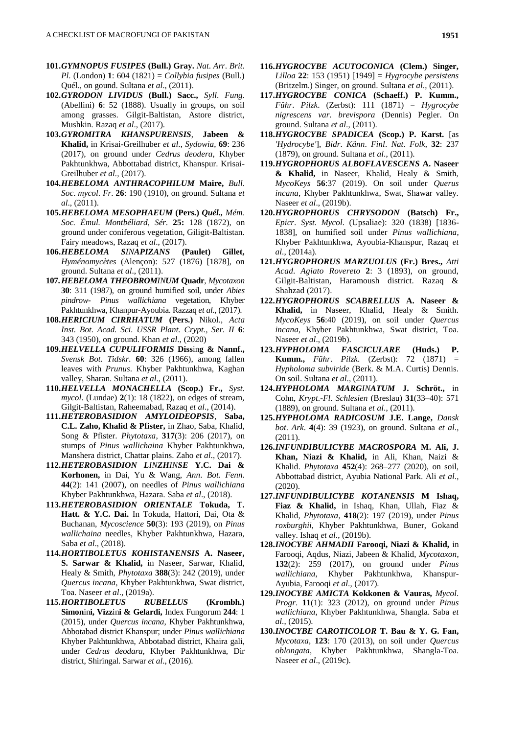- **101.***GYMNOPUS FUSIPES* **(Bull.) Gray.** *Nat*. *Arr*. *Brit*. *Pl*. (London) **1**: 604 (1821) = *Collybia fusipes* (Bull.) Quél., on gound. Sultana *et al*., (2011).
- **102.***GYRODON LIVIDUS* **(Bull.) Sacc.,** *Syll*. *Fung*. (Abellini) **6**: 52 (1888). Usually in groups, on soil among grasses. Gilgit-Baltistan, Astore district, Mushkin. Razaq *et al*., (2017).
- **103.***GYROMITRA KHANSPURENSIS*, **Jabeen & Khalid,** in Krisai-Greilhuber *et al*., *Sydowia*, **69**: 236 (2017), on ground under *Cedrus deodera*, Khyber Pakhtunkhwa, Abbottabad district, Khanspur. Krisai-Greilhuber *et al.,* (2017).
- **104.***HEBELOMA ANTHRACOPHILUM* **Maire,** *Bull*. *Soc*. *mycol*. *Fr*. **26**: 190 (1910), on ground. Sultana *et al*., (2011).
- **105.***HEBELOMA MESOPHAEUM* **(Pers.)** *Quél., Mém. Soc. Émul. Montbéliard, Sér.* **25:** 128 (1872), on ground under coniferous vegetation, Giligit-Baltistan. Fairy meadows, Razaq *et al*., (2017).
- **106.***HEBELOMA SINAPIZANS* **(Paulet) Gillet,**  *Hyménomycètes* (Alençon): 527 (1876) [1878], on ground. Sultana *et al*., (2011).
- **107.***HEBELOMA THEOBROMINUM* **Quadr**, *Mycotaxon* **30**: 311 (1987), on ground humified soil, under *Abies pindrow- Pinus wallichiana* vegetation, Khyber Pakhtunkhwa, Khanpur-Ayoubia. Razzaq *et al*., (2017).
- **108.***HERICIUM CIRRHATUM* **(Pers.)** Nikol., *Acta Inst. Bot. Acad. Sci. USSR Plant. Crypt., Ser. II* **6**: 343 (1950), on ground. Khan *et al*., (2020)
- **109.***HELVELLA CUPULIFORMIS* **Diss**in**g & Nannf.,** *Svensk Bot. Tidskr.* **60**: 326 (1966), among fallen leaves with *Prunus*. Khyber Pakhtunkhwa, Kaghan valley, Sharan. Sultana *et al*., (2011).
- **110.***HELVELLA MONACHELLA* **(Scop.) Fr.,** *Syst*. *mycol*. (Lundae) **2**(1): 18 (1822), on edges of stream, Gilgit-Baltistan, Raheemabad, Razaq *et al*., (2014).
- **111.***HETEROBASIDION AMYLOIDEOPSIS*, **Saba, C.L. Zaho, Khalid & Pfister,** in Zhao, Saba, Khalid, Song & Pfister. *Phytotaxa*, **317**(3): 206 (2017), on stumps of *Pinus wallichaina* Khyber Pakhtunkhwa, Manshera district, Chattar plains. Zaho *et al*., (2017).
- **112.***HETEROBASIDION LINZHINSE* **Y.C. Dai & Korhonen,** in Dai, Yu & Wang, *Ann*. *Bot*. *Fenn*. **44**(2): 141 (2007), on needles of *Pinus wallichiana*  Khyber Pakhtunkhwa, Hazara. Saba *et al*., (2018).
- **113.***HETEROBASIDION ORIENTALE* **Tokuda, T. Hatt. & Y.C. Dai.** In Tokuda, Hattori, Dai, Ota & Buchanan, *Mycoscience* **50**(3): 193 (2019), on *Pinus wallichaina* needles, Khyber Pakhtunkhwa, Hazara, Saba *et al*., (2018).
- **114.***HORTIBOLETUS KOHISTANENSIS* **A. Naseer, S. Sarwar & Khalid,** in Naseer, Sarwar, Khalid, Healy & Smith, *Phytotaxa* **388**(3): 242 (2019), under *Quercus incana*, Khyber Pakhtunkhwa, Swat district, Toa. Naseer *et al*., (2019a).
- **115.***HORTIBOLETUS RUBELLUS* **(Krombh.) Simon**in**i, Vizz**in**i & Gelardi,** Index Fungorum **244**: 1 (2015), under *Quercus incana*, Khyber Pakhtunkhwa, Abbotabad district Khanspur; under *Pinus wallichiana* Khyber Pakhtunkhwa, Abbotabad district, Khaira gali, under *Cedrus deodara*, Khyber Pakhtunkhwa, Dir district, Shiringal. Sarwar *et al*., (2016).
- **116.***HYGROCYBE ACUTOCONICA* **(Clem.) Singer,**  *Lilloa* **22**: 153 (1951) [1949] = *Hygrocybe persistens* (Britzelm.) Singer, on ground. Sultana *et al*., (2011).
- **117.***HYGROCYBE CONICA* **(Schaeff.) P. Kumm.,**  *Führ*. *Pilzk*. (Zerbst): 111 (1871) = *Hygrocybe nigrescens var*. *brevispora* (Dennis) Pegler. On ground. Sultana *et al*., (2011).
- **118.***HYGROCYBE SPADICEA* **(Scop.) P. Karst.** [as *'Hydrocybe'*], *Bidr*. *Känn*. *Finl*. *Nat*. *Folk*, **32**: 237 (1879), on ground. Sultana *et al*., (2011).
- **119.***HYGROPHORUS ALBOFLAVESCENS* **A. Naseer & Khalid,** in Naseer, Khalid, Healy & Smith, *MycoKeys* **56**:37 (2019). On soil under *Querus incana*, Khyber Pakhtunkhwa, Swat, Shawar valley. Naseer *et al*., (2019b).
- **120.***HYGROPHORUS CHRYSODON* **(Batsch) Fr.,** *Epicr*. *Syst*. *Mycol*. (Upsaliae): 320 (1838) [1836- 1838], on humified soil under *Pinus wallichiana*, Khyber Pakhtunkhwa, Ayoubia-Khanspur, Razaq *et al*., (2014a).
- **121.***HYGROPHORUS MARZUOLUS* **(Fr.) Bres.,** *Atti Acad*. *Agiato Rovereto* **2**: 3 (1893), on ground, Gilgit-Baltistan, Haramoush district. Razaq & Shahzad (2017).
- **122.***HYGROPHORUS SCABRELLUS* **A. Naseer & Khalid,** in Naseer, Khalid, Healy & Smith. *MycoKeys* **56**:40 (2019), on soil under *Quercus incana*, Khyber Pakhtunkhwa, Swat district, Toa. Naseer *et al*., (2019b).
- **123.***HYPHOLOMA FASCICULARE* **(Huds.) P. Kumm.,** *Führ*. *Pilzk*. (Zerbst): 72 (1871) = *Hypholoma subviride* (Berk. & M.A. Curtis) Dennis. On soil. Sultana *et al*., (2011).
- **124.***HYPHOLOMA MARGINATUM* **J. Schröt.,** in Cohn, *Krypt*.*-Fl*. *Schlesien* (Breslau) **31**(33–40): 571 (1889), on ground. Sultana *et al*., (2011).
- **125.***HYPHOLOMA RADICOSUM* **J.E. Lange,** *Dansk bot*. *Ark*. **4**(4): 39 (1923), on ground. Sultana *et al*., (2011).
- **126.***INFUNDIBULICYBE MACROSPORA* **M. Ali, J. Khan, Niazi & Khalid,** in Ali, Khan, Naizi & Khalid. *Phytotaxa* **452**(4): 268–277 (2020), on soil, Abbottabad district, Ayubia National Park. Ali *et al*., (2020).
- **127.***INFUNDIBULICYBE KOTANENSIS* **M Ishaq, Fiaz & Khalid,** in Ishaq, Khan, Ullah, Fiaz & Khalid, *Phytotaxa*, **418**(2): 197 (2019), under *Pinus roxburghii*, Khyber Pakhtunkhwa, Buner, Gokand valley. Ishaq *et al*., (2019b).
- **128.***INOCYBE AHMADII* **Farooqi, Niazi & Khalid,** in Farooqi, Aqdus, Niazi, Jabeen & Khalid, *Mycotaxon*, **132**(2): 259 (2017), on ground under *Pinus wallichiana*, Khyber Pakhtunkhwa, Khanspur-Ayubia, Farooqi *et al*., (2017).
- **129.***INOCYBE AMICTA* **Kokkonen & Vauras,** *Mycol*. *Progr*. **11**(1): 323 (2012), on ground under *Pinus wallichiana*, Khyber Pakhtunkhwa, Shangla. Saba *et al*., (2015).
- **130.***INOCYBE CAROTICOLOR* **T. Bau & Y. G. Fan,** *Mycotaxa*, **123**: 170 (2013), on soil under *Quercus oblongata*, Khyber Pakhtunkhwa, Shangla-Toa. Naseer *et al*., (2019c).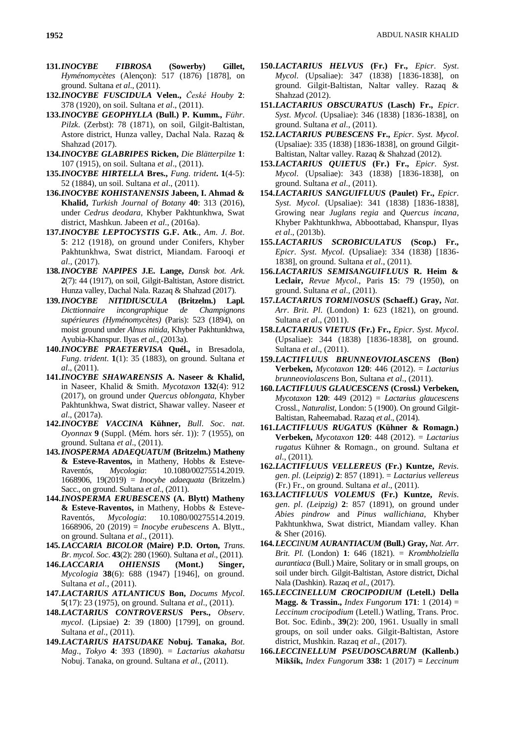- **131.***INOCYBE FIBROSA* **(Sowerby) Gillet,**  *Hyménomycètes* (Alençon): 517 (1876) [1878], on ground. Sultana *et al*., (2011).
- **132.***INOCYBE FUSCIDULA* **Velen.,** *České Houby* **2**: 378 (1920), on soil. Sultana *et al*., (2011).
- **133.***INOCYBE GEOPHYLLA* **(Bull.) P. Kumm.,** *Führ*. *Pilzk*. (Zerbst): 78 (1871), on soil, Gilgit-Baltistan, Astore district, Hunza valley, Dachal Nala. Razaq & Shahzad (2017).
- **134.***INOCYBE GLABRIPES* **Ricken,** *Die Blätterpilze* **1**: 107 (1915), on soil. Sultana *et al*., (2011).
- **135.***INOCYBE HIRTELLA* **Bres.,** *Fung. trident***. 1**(4-5): 52 (1884), un soil. Sultana *et al*., (2011).
- **136.***INOCYBE KOHISTANENSIS* **Jabeen, I. Ahmad & Khalid,** *Turkish Journal of Botany* **40**: 313 (2016), under *Cedrus deodara*, Khyber Pakhtunkhwa, Swat district, Mashkun. Jabeen *et al*., (2016a).
- **137.***INOCYBE LEPTOCYSTIS* **G.F. Atk**., *Am*. *J*. *Bot*. **5**: 212 (1918), on ground under Conifers, Khyber Pakhtunkhwa, Swat district, Miandam. Farooqi *et al*., (2017).
- **138.***INOCYBE NAPIPES* **J.E. Lange,** *Dansk bot*. *Ark*. **2**(7): 44 (1917), on soil, Gilgit-Baltistan, Astore district. Hunza valley, Dachal Nala. Razaq & Shahzad (2017).
- **139.***INOCYBE NITIDIUSCULA* **(Britzelm.) Lapl.** *Dicttionnaire incongraphique de Champignons supérieures (Hyménomycètes)* (Paris): 523 (1894), on moist ground under *Alnus nitida*, Khyber Pakhtunkhwa, Ayubia-Khanspur. Ilyas *et al*., (2013a).
- **140.***INOCYBE PRAETERVISA* **Quél.,** in Bresadola, *Fung*. *trident*. **1**(1): 35 (1883), on ground. Sultana *et al*., (2011).
- **141.***INOCYBE SHAWARENSIS* **A. Naseer & Khalid,** in Naseer, Khalid & Smith. *Mycotaxon* **132**(4): 912 (2017), on ground under *Quercus* o*blongata*, Khyber Pakhtunkhwa, Swat district, Shawar valley. Naseer *et al*., (2017a).
- **142.***INOCYBE VACCINA* **Kühner,** *Bull*. *Soc*. *nat*. *Oyonnax* **9** (Suppl. (Mém. hors sér. 1)): 7 (1955), on ground. Sultana *et al*., (2011).
- **143.***INOSPERMA ADAEQUATUM* **(Britzelm.) Matheny & Esteve-Raventos,** in Matheny, Hobbs & Esteve-Raventós, *Mycologia*: 10.1080/00275514.2019. 1668906, 19(2019) = *Inocybe adaequata* (Britzelm.) Sacc., on ground. Sultana *et al*., (2011).
- **144.***INOSPERMA ERUBESCENS* **(A. Blytt) Matheny & Esteve-Raventos,** in Matheny, Hobbs & Esteve-Raventós, *Mycologia*: 10.1080/00275514.2019. 1668906, 20 (2019) = *Inocybe erubescens* A. Blytt., on ground. Sultana *et al*., (2011).
- **145.***LACCARIA BICOLOR* **(Maire) P.D. Orton,** *Trans*. *Br*. *mycol*. *Soc*. **43**(2): 280 (1960). Sultana *et al*., (2011).
- **146.***LACCARIA OHIENSIS* **(Mont.) Singer,**  *Mycologia* **38**(6): 688 (1947) [1946], on ground. Sultana *et al*., (2011).
- **147.***LACTARIUS ATLANTICUS* **Bon,** *Docums Mycol*. **5**(17): 23 (1975), on ground. Sultana *et al*., (2011).
- **148.***LACTARIUS CONTROVERSUS* **Pers.,** *Observ*. *mycol*. (Lipsiae) **2**: 39 (1800) [1799], on ground. Sultana *et al*., (2011).
- **149.***LACTARIUS HATSUDAKE* **Nobuj. Tanaka,** *Bot*. *Mag*., *Tokyo* **4**: 393 (1890). = *Lactarius akahatsu* Nobuj. Tanaka, on ground. Sultana *et al*., (2011).
- **150.***LACTARIUS HELVUS* **(Fr.) Fr.,** *Epicr*. *Syst*. *Mycol*. (Upsaliae): 347 (1838) [1836-1838], on ground. Gilgit-Baltistan, Naltar valley. Razaq & Shahzad (2012).
- **151.***LACTARIUS OBSCURATUS* **(Lasch) Fr.,** *Epicr*. *Syst*. *Mycol*. (Upsaliae): 346 (1838) [1836-1838], on ground. Sultana *et al*., (2011).
- **152.***LACTARIUS PUBESCENS* **Fr.,** *Epicr*. *Syst*. *Mycol*. (Upsaliae): 335 (1838) [1836-1838], on ground Gilgit-Baltistan, Naltar valley. Razaq & Shahzad (2012).
- **153.***LACTARIUS QUIETUS* **(Fr.) Fr.,** *Epicr*. *Syst*. *Mycol*. (Upsaliae): 343 (1838) [1836-1838], on ground. Sultana *et al*., (2011).
- **154.***LACTARIUS SANGUIFLUUS* **(Paulet) Fr.,** *Epicr*. *Syst*. *Mycol*. (Upsaliae): 341 (1838) [1836-1838], Growing near *Juglans regia* and *Quercus incana*, Khyber Pakhtunkhwa, Abboottabad, Khanspur, Ilyas *et al*., (2013b).
- **155.***LACTARIUS SCROBICULATUS* **(Scop.) Fr.,**  *Epicr*. *Syst*. *Mycol*. (Upsaliae): 334 (1838) [1836- 1838], on ground. Sultana *et al*., (2011).
- **156.***LACTARIUS SEMISANGUIFLUUS* **R. Heim & Leclair,** *Revue Mycol*., Paris **15**: 79 (1950), on ground. Sultana *et al*., (2011).
- **157.***LACTARIUS TORMINOSUS* **(Schaeff.) Gray,** *Nat*. *Arr*. *Brit*. *Pl*. (London) **1**: 623 (1821), on ground. Sultana *et al*., (2011).
- **158.***LACTARIUS VIETUS* **(Fr.) Fr.,** *Epicr*. *Syst*. *Mycol*. (Upsaliae): 344 (1838) [1836-1838], on ground. Sultana *et al*., (2011).
- **159.***LACTIFLUUS BRUNNEOVIOLASCENS* **(Bon) Verbeken,** *Mycotaxon* **120**: 446 (2012). = *Lactarius brunneoviolascens* Bon, Sultana *et al*., (2011).
- **160.***LACTIFLUUS GLAUCESCENS* **(Crossl.) Verbeken,**  *Mycotaxon* **120**: 449 (2012) = *Lactarius glaucescens*  Crossl., *Naturalist*, London: 5 (1900). On ground Gilgit-Baltistan, Raheemabad. Razaq *et al*., (2014).
- **161.***LACTIFLUUS RUGATUS* **(Kühner & Romagn.) Verbeken,** *Mycotaxon* **120**: 448 (2012). = *Lactarius rugatus* Kühner & Romagn., on ground. Sultana *et al*., (2011).
- **162.***LACTIFLUUS VELLEREUS* **(Fr.) Kuntze,** *Revis*. *gen*. *pl*. (*Leipzig*) **2**: 857 (1891). = *Lactarius vellereus* (Fr.) Fr., on ground. Sultana *et al*., (2011).
- **163.***LACTIFLUUS VOLEMUS* **(Fr.) Kuntze,** *Revis*. *gen*. *pl*. *(Leipzig)* **2**: 857 (1891), on ground under *Abies pindrow* and *Pinus wallichiana*, Khyber Pakhtunkhwa, Swat district, Miandam valley. Khan & Sher (2016).
- **164.***LECCINUM AURANTIACUM* **(Bull.) Gray,** *Nat*. *Arr*. *Brit*. *Pl*. (London) **1**: 646 (1821). = *Krombholziella aurantiaca* (Bull.) Maire, Solitary or in small groups, on soil under birch. Gilgit-Baltistan, Astore district, Dichal Nala (Dashkin). Razaq *et al*., (2017).
- **165.***LECCINELLUM CROCIPODIUM* **(Letell.) Della Magg. & Trassin.,** *Index Fungorum* **171**: 1 (2014) = *Leccinum crocipodium* (Letell.) Watling, Trans. Proc. Bot. Soc. Edinb., **39**(2): 200, 1961. Usually in small groups, on soil under oaks. Gilgit-Baltistan, Astore district, Mushkin. Razaq *et al*., (2017).
- **166.***LECCINELLUM PSEUDOSCABRUM* **(Kallenb.) Mikšík,** *Index Fungorum* **338:** 1 (2017) **=** *Leccinum*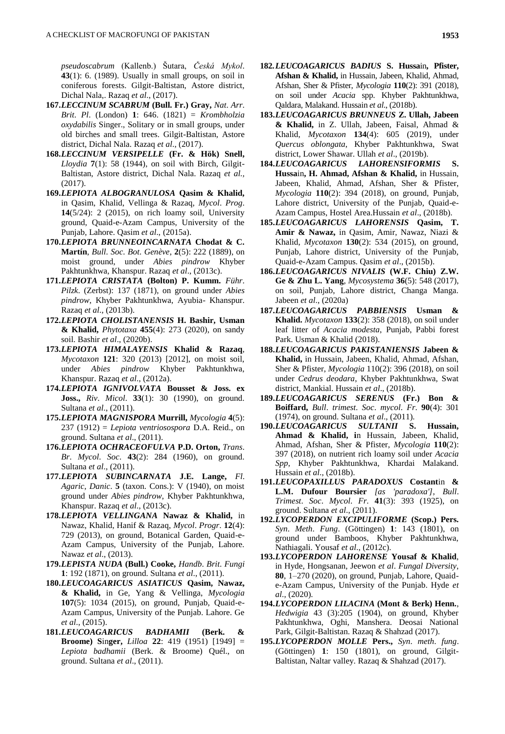*pseudoscabrum* (Kallenb.) Šutara, *Česká Mykol*. **43**(1): 6. (1989). Usually in small groups, on soil in coniferous forests. Gilgit-Baltistan, Astore district, Dichal Nala,. Razaq *et al*., (2017).

- **167.***LECCINUM SCABRUM* **(Bull. Fr.) Gray,** *Nat*. *Arr*. *Brit*. *Pl*. (London) **1**: 646. (1821) = *Krombholzia oxydabilis* Singer., Solitary or in small groups, under old birches and small trees. Gilgit-Baltistan, Astore district, Dichal Nala. Razaq *et al*., (2017).
- **168.***LECCINUM VERSIPELLE* **(Fr. & Hök) Snell,**  *Lloydia* **7**(1): 58 (1944), on soil with Birch, Gilgit-Baltistan, Astore district, Dichal Nala. Razaq *et al.,* (2017).
- **169.***LEPIOTA ALBOGRANULOSA* **Qasim & Khalid,**  in Qasim, Khalid, Vellinga & Razaq, *Mycol*. *Prog*. **14**(5/24): 2 (2015), on rich loamy soil, University ground, Quaid-e-Azam Campus, University of the Punjab, Lahore. Qasim *et al*., (2015a).
- **170.***LEPIOTA BRUNNEOINCARNATA* **Chodat & C. Martín**, *Bull*. *Soc*. *Bot*. *Genève*, **2**(5): 222 (1889), on moist ground, under *Abies pindrow* Khyber Pakhtunkhwa, Khanspur. Razaq *et al*., (2013c).
- **171.***LEPIOTA CRISTATA* **(Bolton) P. Kumm.** *Führ*. *Pilzk*. (Zerbst): 137 (1871), on ground under *Abies pindrow*, Khyber Pakhtunkhwa, Ayubia- Khanspur. Razaq *et al*., (2013b).
- **172.***LEPIOTA CHOLISTANENSIS* **H. Bashir, Usman & Khalid,** *Phytotaxa* **455**(4): 273 (2020), on sandy soil. Bashir *et al*., (2020b).
- **173.***LEPIOTA HIMALAYENSIS* **Khalid & Razaq**, *Mycotaxon* **121**: 320 (2013) [2012], on moist soil, under *Abies pindrow* Khyber Pakhtunkhwa, Khanspur. Razaq *et al*., (2012a).
- **174.***LEPIOTA IGNIVOLVATA* **Bousset & Joss. ex Joss.,** *Riv*. *Micol*. **33**(1): 30 (1990), on ground. Sultana *et al*., (2011).
- **175.***LEPIOTA MAGNISPORA* **Murrill,** *Mycologia* **4**(5): 237 (1912) = *Lepiota ventriosospora* D.A. Reid., on ground. Sultana *et al*., (2011).
- **176.***LEPIOTA OCHRACEOFULVA* **P.D. Orton,** *Trans*. *Br*. *Mycol*. *Soc*. **43**(2): 284 (1960), on ground. Sultana *et al*., (2011).
- **177.***LEPIOTA SUBINCARNATA* **J.E. Lange,** *Fl*. *Agaric*, *Danic*. **5** (taxon. Cons.): V (1940), on moist ground under *Abies pindrow*, Khyber Pakhtunkhwa, Khanspur. Razaq *et al*., (2013c).
- **178.***LEPIOTA VELLINGANA* **Nawaz & Khalid,** in Nawaz, Khalid, Hanif & Razaq, *Mycol*. *Progr*. **12**(4): 729 (2013), on ground, Botanical Garden, Quaid-e-Azam Campus, University of the Punjab, Lahore. Nawaz *et al*., (2013).
- **179.***LEPISTA NUDA* **(Bull.) Cooke,** *Handb*. *Brit*. *Fungi* **1**: 192 (1871), on ground. Sultana *et al*., (2011).
- **180.***LEUCOAGARICUS ASIATICUS* **Qasim, Nawaz, & Khalid,** in Ge, Yang & Vellinga, *Mycologia* **107**(5): 1034 (2015), on ground, Punjab, Quaid-e-Azam Campus, University of the Punjab. Lahore. Ge *et al*., (2015).
- **181.***LEUCOAGARICUS BADHAMII* **(Berk. & Broome) S**in**ger,** *Lilloa* **22**: 419 (1951) [1949] = *Lepiota badhamii* (Berk. & Broome) Quél., on ground. Sultana *et al*., (2011).
- **182.***LEUCOAGARICUS BADIUS* **S. Hussa**in**, Pfister, Afshan & Khalid,** in Hussain, Jabeen, Khalid, Ahmad, Afshan, Sher & Pfister, *Mycologia* **110**(2): 391 (2018), on soil under *Acacia* spp. Khyber Pakhtunkhwa, Qaldara, Malakand. Hussain *et al*., (2018b).
- **183.***LEUCOAGARICUS BRUNNEUS* **Z. Ullah, Jabeen & Khalid,** in Z. Ullah, Jabeen, Faisal, Ahmad & Khalid, *Mycotaxon* **134**(4): 605 (2019), under *Quercus oblongata*, Khyber Pakhtunkhwa, Swat district, Lower Shawar. Ullah *et al*., (2019b).
- **184.***LEUCOAGARICUS LAHORENSIFORMIS* **S. Hussa**in**, H. Ahmad, Afshan & Khalid,** in Hussain, Jabeen, Khalid, Ahmad, Afshan, Sher & Pfister, *Mycologia* **110**(2): 394 (2018), on ground, Punjab, Lahore district, University of the Punjab, Quaid-e-Azam Campus, Hostel Area.Hussain *et al*., (2018b).
- **185.***LEUCOAGARICUS LAHORENSIS* **Qasim, T. Amir & Nawaz,** in Qasim, Amir, Nawaz, Niazi & Khalid, *Mycotaxon* **130**(2): 534 (2015), on ground, Punjab, Lahore district, University of the Punjab, Quaid-e-Azam Campus. Qasim *et al*., (2015b).
- **186.***LEUCOAGARICUS NIVALIS* **(W.F. Chiu) Z.W. Ge & Zhu L. Yang**, *Mycosystema* **36**(5): 548 (2017), on soil, Punjab, Lahore district, Changa Manga. Jabeen *et al*., (2020a)
- **187.***LEUCOAGARICUS PABBIENSIS* **Usman & Khalid.** *Mycotaxon* **133**(2): 358 (2018), on soil under leaf litter of *Acacia modesta*, Punjab, Pabbi forest Park. Usman & Khalid (2018).
- **188.***LEUCOAGARICUS PAKISTANIENSIS* **Jabeen & Khalid,** in Hussain, Jabeen, Khalid, Ahmad, Afshan, Sher & Pfister, *Mycologia* 110(2): 396 (2018), on soil under *Cedrus deodara*, Khyber Pakhtunkhwa, Swat district, Mankial. Hussain *et al*., (2018b).
- **189.***LEUCOAGARICUS SERENUS* **(Fr.) Bon & Boiffard,** *Bull*. *trimest*. *Soc*. *mycol*. *Fr*. **90**(4): 301 (1974), on ground. Sultana *et al*., (2011).
- **190.***LEUCOAGARICUS SULTANII* **S. Hussain, Ahmad & Khalid, i**n Hussain, Jabeen, Khalid, Ahmad, Afshan, Sher & Pfister, *Mycologia* **110**(2): 397 (2018), on nutrient rich loamy soil under *Acacia Spp*, Khyber Pakhtunkhwa, Khardai Malakand. Hussain *et al*., (2018b).
- **191.***LEUCOPAXILLUS PARADOXUS* **Costant**in **& L.M. Dufour Boursier** *[as 'paradoxa']*, *Bull*. *Trimest*. *Soc*. *Mycol*. *Fr*. **41**(3): 393 (1925), on ground. Sultana *et al*., (2011).
- **192.***LYCOPERDON EXCIPULIFORME* **(Scop.) Pers.** *Syn*. *Meth*. *Fung*. (Göttingen) **1**: 143 (1801), on ground under Bamboos, Khyber Pakhtunkhwa, Nathiagali. Yousaf *et al*., (2012c).
- **193.***LYCOPERDON LAHORENSE* **Yousaf & Khalid**, in Hyde, Hongsanan, Jeewon *et al*. *Fungal Diversity*, **80**, 1–270 (2020), on ground, Punjab, Lahore, Quaide-Azam Campus, University of the Punjab. Hyde *et al*., (2020).
- **194.***LYCOPERDON LILACINA* **(Mont & Berk) Henn.**, *Hedwigia* 43 (3):205 (1904), on ground, Khyber Pakhtunkhwa, Oghi, Manshera. Deosai National Park, Gilgit-Baltistan. Razaq & Shahzad (2017).
- **195.***LYCOPERDON MOLLE* **Pers.,** *Syn*. *meth*. *fung*. (Göttingen) **1**: 150 (1801), on ground, Gilgit-Baltistan, Naltar valley. Razaq & Shahzad (2017).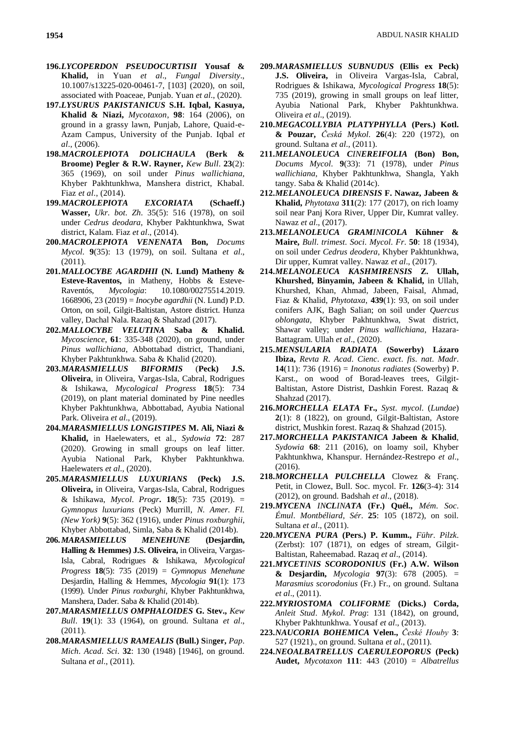- **196.***LYCOPERDON PSEUDOCURTISII* **Yousaf & Khalid,** in Yuan *et al*., *Fungal Diversity*., 10.1007/s13225-020-00461-7, [103] (2020), on soil, associated with Poaceae, Punjab. Yuan *et al*., (2020).
- **197.***LYSURUS PAKISTANICUS* **S.H. Iqbal, Kasuya, Khalid & Niazi,** *Mycotaxon*, **98**: 164 (2006), on ground in a grassy lawn, Punjab, Lahore, Quaid-e-Azam Campus, University of the Punjab. Iqbal *et al*., (2006).
- **198.***MACROLEPIOTA DOLICHAULA* **(Berk & Broome) Pegler & R.W. Rayner,** *Kew Bull*. **23**(2): 365 (1969), on soil under *Pinus wallichiana*, Khyber Pakhtunkhwa, Manshera district, Khabal. Fiaz *et al*., (2014).
- **199.***MACROLEPIOTA EXCORIATA* **(Schaeff.) Wasser,** *Ukr*. *bot*. *Zh*. 35(5): 516 (1978), on soil under *Cedrus deodara*, Khyber Pakhtunkhwa, Swat district, Kalam. Fiaz *et al*., (2014).
- **200.***MACROLEPIOTA VENENATA* **Bon,** *Docums Mycol*. **9**(35): 13 (1979), on soil. Sultana *et al*., (2011).
- **201.***MALLOCYBE AGARDHII* **(N. Lund) Matheny & Esteve-Raventos,** in Matheny, Hobbs & Esteve-Raventós, *Mycologia*: 10.1080/00275514.2019. 1668906, 23 (2019) = *Inocybe agardhii* (N. Lund) P.D. Orton, on soil, Gilgit-Baltistan, Astore district. Hunza valley, Dachal Nala. Razaq & Shahzad (2017).
- **202.***MALLOCYBE VELUTINA* **Saba & Khalid.**  *Mycoscience*, **61**: 335-348 (2020), on ground, under *Pinus wallichiana*, Abbottabad district, Thandiani, Khyber Pakhtunkhwa. Saba & Khalid (2020).
- **203.***MARASMIELLUS BIFORMIS* (**Peck) J.S. Oliveira**, in Oliveira, Vargas-Isla, Cabral, Rodrigues & Ishikawa, *Mycological Progress* **18**(5): 734 (2019), on plant material dominated by Pine needles Khyber Pakhtunkhwa, Abbottabad, Ayubia National Park. Oliveira *et al*., (2019).
- **204.***MARASMIELLUS LONGISTIPES* **M. Ali, Niazi & Khalid,** in Haelewaters, et al., *Sydowia* **72**: 287 (2020). Growing in small groups on leaf litter. Ayubia National Park, Khyber Pakhtunkhwa. Haelewaters *et al*., (2020).
- **205.***MARASMIELLUS LUXURIANS* **(Peck) J.S. Oliveira,** in Oliveira, Vargas-Isla, Cabral, Rodrigues & Ishikawa, *Mycol*. *Progr***. 18**(5): 735 (2019). = *Gymnopus luxurians* (Peck) Murrill*, N. Amer. Fl. (New York)* **9**(5): 362 (1916), under *Pinus roxburghii*, Khyber Abbottabad, Simla, Saba & Khalid (2014b).
- **206.***MARASMIELLUS MENEHUNE* **(Desjardin, Halling & Hemmes) J.S. Oliveira,** in Oliveira, Vargas-Isla, Cabral, Rodrigues & Ishikawa, *Mycological Progress* **18**(5): 735 (2019) = *Gymnopus Menehune* Desjardin, Halling & Hemmes, *Mycologia* **91**(1): 173 (1999). Under *Pinus roxburghi*, Khyber Pakhtunkhwa, Manshera, Dader. Saba & Khalid (2014b).
- **207.***MARASMIELLUS OMPHALOIDES* **G. Stev.,** *Kew Bull*. **19**(1): 33 (1964), on ground. Sultana *et al*., (2011).
- **208.***MARASMIELLUS RAMEALIS* **(Bull.) S**in**ger,** *Pap*. *Mich*. *Acad*. *Sci*. **32**: 130 (1948) [1946], on ground. Sultana *et al*., (2011).
- **209.***MARASMIELLUS SUBNUDUS* **(Ellis ex Peck) J.S. Oliveira,** in Oliveira Vargas-Isla, Cabral, Rodrigues & Ishikawa, *Mycological Progress* **18**(5): 735 (2019), growing in small groups on leaf litter, Ayubia National Park, Khyber Pakhtunkhwa. Oliveira *et al*., (2019).
- **210.***MEGACOLLYBIA PLATYPHYLLA* **(Pers.) Kotl. & Pouzar,** *Česká Mykol*. **26**(4): 220 (1972), on ground. Sultana *et al*., (2011).
- **211.***MELANOLEUCA CINEREIFOLIA* **(Bon) Bon,** *Docums Mycol*. **9**(33): 71 (1978), under *Pinus wallichiana*, Khyber Pakhtunkhwa, Shangla, Yakh tangy. Saba & Khalid (2014c).
- **212.***MELANOLEUCA DIRENSIS* **F. Nawaz, Jabeen & Khalid,** *Phytotaxa* **311**(2): 177 (2017), on rich loamy soil near Panj Kora River, Upper Dir, Kumrat valley. Nawaz *et al*., (2017).
- **213.***MELANOLEUCA GRAMINICOLA* **Kühner & Maire,** *Bull*. *trimest*. *Soci*. *Mycol*. *Fr*. **50**: 18 (1934), on soil under *Cedrus deodera*, Khyber Pakhtunkhwa, Dir upper, Kumrat valley. Nawaz *et al*., (2017).
- **214.***MELANOLEUCA KASHMIRENSIS* **Z. Ullah, Khurshed, Binyamin, Jabeen & Khalid,** in Ullah, Khurshed, Khan, Ahmad, Jabeen, Faisal, Ahmad, Fiaz & Khalid, *Phytotaxa*, **439**(1): 93, on soil under conifers AJK, Bagh Salian; on soil under *Quercus oblongata*, Khyber Pakhtunkhwa, Swat district, Shawar valley; under *Pinus wallichiana*, Hazara-Battagram. Ullah *et al*., (2020).
- **215.***MENSULARIA RADIATA* **(Sowerby) Lázaro Ibiza,** *Revta R*. *Acad*. *Cienc*. *exact*. *fis*. *nat*. *Madr*. **14**(11): 736 (1916) = *Inonotus radiates* (Sowerby) P. Karst., on wood of Borad-leaves trees, Gilgit-Baltistan, Astore Distrist, Dashkin Forest. Razaq & Shahzad (2017).
- **216.***MORCHELLA ELATA* **Fr.,** *Syst*. *mycol*. (*Lundae*) **2**(1): 8 (1822), on ground, Gilgit-Baltistan, Astore district, Mushkin forest. Razaq & Shahzad (2015).
- **217.***MORCHELLA PAKISTANICA* **Jabeen & Khalid**, *Sydowia* **68**: 211 (2016), on loamy soil, Khyber Pakhtunkhwa, Khanspur. Hernández-Restrepo *et al*., (2016).
- **218.***MORCHELLA PULCHELLA* Clowez & Franç. Petit, in Clowez, Bull. Soc. mycol. Fr. **126**(3-4): 314 (2012), on ground. Badshah *et al*., (2018).
- **219.***MYCENA INCLINATA* **(Fr.) Quél.,** *Mém*. *Soc*. *Émul*. *Montbéliard*, *Sér*. **25**: 105 (1872), on soil. Sultana *et al*., (2011).
- **220.***MYCENA PURA* **(Pers.) P. Kumm.,** *Führ*. *Pilzk*. (Zerbst): 107 (1871), on edges of stream, Gilgit-Baltistan, Raheemabad. Razaq *et al*., (2014).
- **221.***MYCETINIS SCORODONIUS* **(Fr.) A.W. Wilson & Desjardin,** *Mycologia* **97**(3): 678 (2005). = *Marasmius scorodonius* (Fr.) Fr., on ground. Sultana *et al*., (2011).
- **222.***MYRIOSTOMA COLIFORME* **(Dicks.) Corda,** *Anleit Stud*. *Mykol*. *Prag*: 131 (1842), on ground, Khyber Pakhtunkhwa. Yousaf *et al*., (2013).
- **223.***NAUCORIA BOHEMICA* **Velen.,** *České Houby* **3**: 527 (1921)., on ground. Sultana *et al*., (2011).
- **224.***NEOALBATRELLUS CAERULEOPORUS* **(Peck) Audet,** *Mycotaxon* **111**: 443 (2010) = *Albatrellus*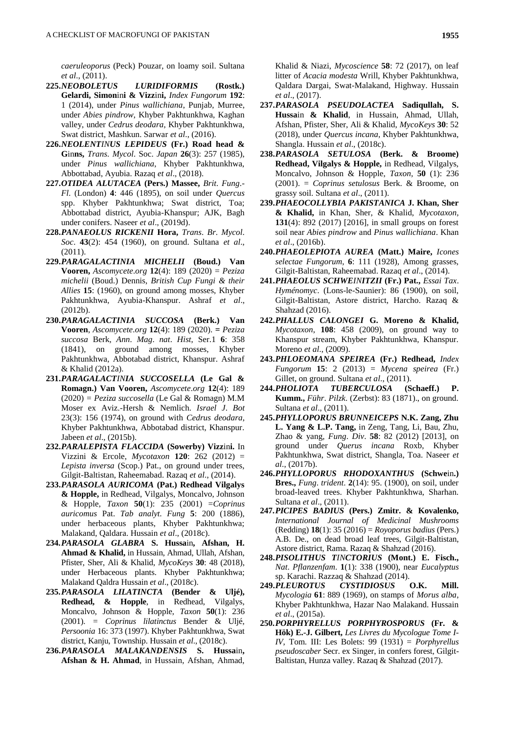*caeruleoporus* (Peck) Pouzar, on loamy soil. Sultana *et al*., (2011).

- **225.***NEOBOLETUS LURIDIFORMIS* **(Rostk.) Gelardi, Simon**in**i & Vizz**in**i,** *Index Fungorum* **192**: 1 (2014), under *Pinus wallichiana*, Punjab, Murree, under *Abies pindrow*, Khyber Pakhtunkhwa, Kaghan valley, under *Cedrus deodara*, Khyber Pakhtunkhwa, Swat district, Mashkun. Sarwar *et al*., (2016).
- **226.***NEOLENTINUS LEPIDEUS* **(Fr.) Road head & G**in**ns,** *Trans*. *Mycol*. Soc. *Japan* **26**(3): 257 (1985), under *Pinus wallichiana*, Khyber Pakhtunkhwa, Abbottabad, Ayubia. Razaq *et al*., (2018).
- **227.***OTIDEA ALUTACEA* **(Pers.) Massee,** *Brit*. *Fung*.*- Fl*. (London) **4**: 446 (1895), on soil under *Quercus*  spp. Khyber Pakhtunkhwa; Swat district, Toa; Abbottabad district, Ayubia-Khanspur; AJK, Bagh under conifers. Naseer *et al*., (2019d).
- **228.***PANAEOLUS RICKENII* **Hora,** *Trans*. *Br*. *Mycol*. *Soc*. **43**(2): 454 (1960), on ground. Sultana *et al*., (2011).
- **229.***PARAGALACTINIA MICHELII* **(Boud.) Van Vooren,** *Ascomycete*.*org* **12**(4): 189 (2020) = *Peziza michelii* (Boud.) Dennis, *British Cup Fungi & their Allies* **15**: (1960), on ground among mosses, Khyber Pakhtunkhwa, Ayubia-Khanspur. Ashraf *et al*., (2012b).
- **230.***PARAGALACTINIA SUCCOSA* **(Berk.) Van Vooren**, *Ascomycete*.*org* **12**(4): 189 (2020). **=** *Peziza succosa* Berk, *Ann*. *Mag*. *nat*. *Hist*, Ser.1 **6**: 358 (1841), on ground among mosses, Khyber Pakhtunkhwa, Abbotabad district, Khanspur. Ashraf & Khalid (2012a).
- **231.***PARAGALACTINIA SUCCOSELLA* **(Le Gal & Romagn.) Van Vooren,** *Ascomycete*.*org* **12**(4): 189 (2020) *= Peziza succosella* (Le Gal & Romagn) M.M Moser ex Aviz.-Hersh & Nemlich. *Israel J*. *Bot* 23(3): 156 (1974), on ground with *Cedrus deodara*, Khyber Pakhtunkhwa, Abbotabad district, Khanspur. Jabeen *et al*., (2015b).
- **232.***PARALEPISTA FLACCIDA* **(Sowerby) Vizz**in**i.** In Vizzini & Ercole, *Mycotaxon* **120**: 262 (2012) = *Lepista inversa* (Scop.) Pat., on ground under trees, Gilgit-Baltistan, Raheemabad. Razaq *et al*., (2014).
- **233.***PARASOLA AURICOMA* **(Pat.) Redhead Vilgalys & Hopple,** in Redhead, Vilgalys, Moncalvo, Johnson & Hopple, *Taxon* **50**(1): 235 (2001) =*Coprinus auricomus* Pat. *Tab analyt. Fung* **5**: 200 (1886), under herbaceous plants, Khyber Pakhtunkhwa; Malakand, Qaldara. Hussain *et al*., (2018c).
- **234.***PARASOLA GLABRA* **S. Hussa**in**, Afshan, H. Ahmad & Khalid,** in Hussain, Ahmad, Ullah, Afshan, Pfister, Sher, Ali & Khalid, *MycoKeys* **30**: 48 (2018), under Herbaceous plants. Khyber Pakhtunkhwa; Malakand Qaldra Hussain *et al*., (2018c).
- **235.***PARASOLA LILATINCTA* **(Bender & Uljé), Redhead, & Hopple**, in Redhead, Vilgalys, Moncalvo, Johnson & Hopple, *Taxon* **50**(1): 236 (2001). *= Coprinus lilatinctus* Bender & Uljé, *Persoonia* 16: 373 (1997). Khyber Pakhtunkhwa, Swat district, Kanju, Township. Hussain *et al*., (2018c).
- **236.***PARASOLA MALAKANDENSIS* **S. Hussa**in**, Afshan & H. Ahmad**, in Hussain, Afshan, Ahmad,

Khalid & Niazi, *Mycoscience* **58**: 72 (2017), on leaf litter of *Acacia modesta* Wrill, Khyber Pakhtunkhwa, Qaldara Dargai, Swat-Malakand, Highway. Hussain *et al*., (2017).

- **237.***PARASOLA PSEUDOLACTEA* **Sadiqullah, S. Hussa**in **& Khalid**, in Hussain, Ahmad, Ullah, Afshan, Pfister, Sher, Ali & Khalid, *MycoKeys* **30**: 52 (2018), under *Quercus incana*, Khyber Pakhtunkhwa, Shangla. Hussain *et al*., (2018c).
- **238.***PARASOLA SETULOSA* **(Berk. & Broome) Redhead, Vilgalys & Hopple,** in Redhead, Vilgalys, Moncalvo, Johnson & Hopple, *Taxon,* **50** (1): 236 (2001). = *Coprinus setulosus* Berk. & Broome, on grassy soil. Sultana *et al*., (2011).
- **239.***PHAEOCOLLYBIA PAKISTANICA* **J. Khan, Sher & Khalid,** in Khan, Sher, & Khalid, *Mycotaxon,* **131**(4): 892 (2017) [2016], in small groups on forest soil near *Abies pindrow* and *Pinus wallichiana*. Khan *et al*., (2016b).
- **240.***PHAEOLEPIOTA AUREA* **(Matt.) Maire,** *Icones selectae Fungorum*, **6**: 111 (1928), Among grasses, Gilgit-Baltistan, Raheemabad. Razaq *et al*., (2014).
- **241.***PHAEOLUS SCHWEINITZII* **(Fr.) Pat.,** *Essai Tax*. *Hyménomyc*. (Lons-le-Saunier): 86 (1900), on soil, Gilgit-Baltistan, Astore district, Harcho. Razaq & Shahzad (2016).
- **242.***PHALLUS CALONGEI* **G. Moreno & Khalid,** *Mycotaxon*, **108**: 458 (2009), on ground way to Khanspur stream, Khyber Pakhtunkhwa, Khanspur. Moreno *et al*., (2009).
- **243.***PHLOEOMANA SPEIREA* **(Fr.) Redhead,** *Index Fungorum* **15**: 2 (2013) = *Mycena speirea* (Fr.) Gillet, on ground. Sultana *et al*., (2011).
- **244.***PHOLIOTA TUBERCULOSA* **(Schaeff.) P. Kumm.,** *Führ*. *Pilzk*. (Zerbst): 83 (1871)., on ground. Sultana *et al*., (2011).
- **245.***PHYLLOPORUS BRUNNEICEPS* **N.K. Zang, Zhu L. Yang & L.P. Tang,** in Zeng, Tang, Li, Bau, Zhu, Zhao & yang, *Fung*. *Div*. **58**: 82 (2012) [2013], on ground under *Querus incana* Roxb, Khyber Pakhtunkhwa, Swat district, Shangla, Toa. Naseer *et al*., (2017b).
- **246.***PHYLLOPORUS RHODOXANTHUS* **(Schwe**in**.) Bres.,** *Fung*. *trident*. **2**(14): 95. (1900), on soil, under broad-leaved trees. Khyber Pakhtunkhwa, Sharhan. Sultana *et al*., (2011).
- **247.***PICIPES BADIUS* **(Pers.) Zmitr. & Kovalenko,**  *International Journal of Medicinal Mushrooms* (Redding) **18**(1): 35 (2016) = *Royoporus badius* (Pers.) A.B. De., on dead broad leaf trees, Gilgit-Baltistan, Astore district, Rama. Razaq & Shahzad (2016).
- **248.***PISOLITHUS TINCTORIUS* **(Mont.) E. Fisch.,** *Nat*. *Pflanzenfam*. **1**(1): 338 (1900), near *Eucalyptus*  sp. Karachi. Razzaq & Shahzad (2014).
- **249.***PLEUROTUS CYSTIDIOSUS* **O.K. Mill.** *Mycologia* **61**: 889 (1969), on stamps of *Morus alba*, Khyber Pakhtunkhwa, Hazar Nao Malakand. Hussain *et al*., (2015a).
- **250.***PORPHYRELLUS PORPHYROSPORUS* **(Fr. & Hök) E.-J. Gilbert,** *Les Livres du Mycologue Tome I-IV*, Tom. III: Les Bolets: 99 (1931) = *Porphyrellus pseudoscaber* Secr. ex Singer, in confers forest, Gilgit-Baltistan, Hunza valley. Razaq & Shahzad (2017).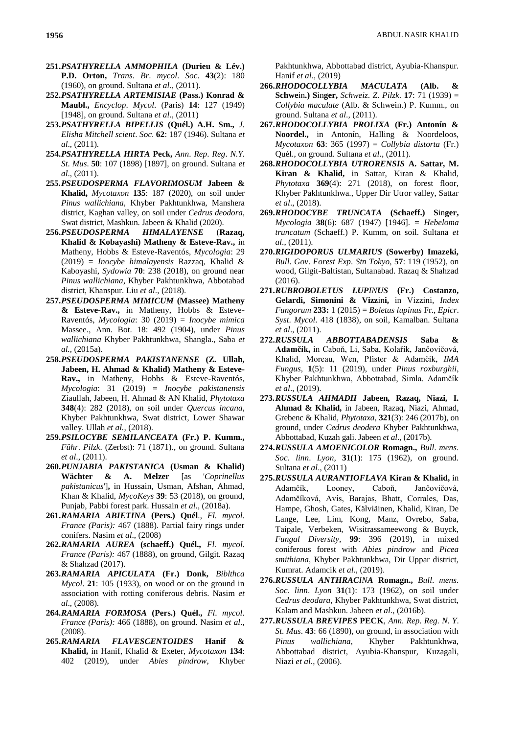- **251.***PSATHYRELLA AMMOPHILA* **(Durieu & Lév.) P.D. Orton,** *Trans*. *Br*. *mycol*. *Soc*. **43**(2): 180 (1960), on ground. Sultana *et al*., (2011).
- **252.***PSATHYRELLA ARTEMISIAE* **(Pass.) Konrad & Maubl.,** *Encyclop*. *Mycol*. (Paris) **14**: 127 (1949) [1948], on ground. Sultana *et al*., (2011)
- **253.***PSATHYRELLA BIPELLIS* **(Quél.) A.H. Sm.,** *J*. *Elisha Mitchell scient*. *Soc*. **62**: 187 (1946). Sultana *et al*., (2011).
- **254.***PSATHYRELLA HIRTA* **Peck,** *Ann*. *Rep*. *Reg*. *N*.*Y*. *St*. *Mus*. **50**: 107 (1898) [1897], on ground. Sultana *et al*., (2011).
- **255.***PSEUDOSPERMA FLAVORIMOSUM* **Jabeen & Khalid,** *Mycotaxon* **135**: 187 (2020), on soil under *Pinus wallichiana*, Khyber Pakhtunkhwa, Manshera district, Kaghan valley, on soil under *Cedrus deodora*, Swat district, Mashkun. Jabeen & Khalid (2020).
- **256.***PSEUDOSPERMA HIMALAYENSE* (**Razaq, Khalid & Kobayashi) Matheny & Esteve-Rav.,** in Matheny, Hobbs & Esteve-Raventós, *Mycologia*: 29 (2019) = *Inocybe himalayensis* Razzaq, Khalid & Kaboyashi, *Sydowia* **70**: 238 (2018), on ground near *Pinus wallichiana*, Khyber Pakhtunkhwa, Abbotabad district, Khanspur. Liu *et al*., (2018).
- **257.***PSEUDOSPERMA MIMICUM* **(Massee) Matheny & Esteve-Rav.,** in Matheny, Hobbs & Esteve-Raventós, *Mycologia*: 30 (2019) = *Inocybe mimica* Massee., Ann. Bot. 18: 492 (1904), under *Pinus wallichiana* Khyber Pakhtunkhwa, Shangla., Saba *et al.,* (2015a).
- **258.***PSEUDOSPERMA PAKISTANENSE* **(Z. Ullah, Jabeen, H. Ahmad & Khalid) Matheny & Esteve-Rav.,** in Matheny, Hobbs & Esteve-Raventós, *Mycologia*: 31 (2019) = *Inocybe pakistanensis* Ziaullah, Jabeen, H. Ahmad & AN Khalid, *Phytotaxa* **348**(4): 282 (2018), on soil under *Quercus incana*, Khyber Pakhtunkhwa, Swat district, Lower Shawar valley. Ullah *et al.,* (2018).
- **259.***PSILOCYBE SEMILANCEATA* **(Fr.) P. Kumm.,**  *Führ*. *Pilzk*. (Zerbst): 71 (1871)., on ground. Sultana *et al*., (2011).
- **260.***PUNJABIA PAKISTANICA* **(Usman & Khalid) Wächter & A. Melzer** [as '*Coprinellus pakistanicus*']**,** in Hussain, Usman, Afshan, Ahmad, Khan & Khalid, *MycoKeys* **39**: 53 (2018), on ground, Punjab, Pabbi forest park. Hussain *et al*., (2018a).
- **261.***RAMARIA ABIETINA* **(Pers.) Quél**., *Fl. mycol. France (Paris):* 467 (1888). Partial fairy rings under conifers. Nasim *et al*., (2008)
- **262.***RAMARIA AUREA* **(schaeff.) Quél.,** *Fl. mycol. France (Paris):* 467 (1888), on ground, Gilgit. Razaq & Shahzad (2017).
- **263.***RAMARIA APICULATA* **(Fr.) Donk,** *Biblthca Mycol*. **21**: 105 (1933), on wood or on the ground in association with rotting coniferous debris. Nasim *et al*., (2008).
- **264.***RAMARIA FORMOSA* **(Pers.) Quél.,** *Fl*. *mycol*. *France (Paris):* 466 (1888), on ground. Nasim *et al*., (2008).
- **265.***RAMARIA FLAVESCENTOIDES* **Hanif & Khalid,** in Hanif, Khalid & Exeter, *Mycotaxon* **134**: 402 (2019), under *Abies pindrow*, Khyber

Pakhtunkhwa, Abbottabad district, Ayubia-Khanspur. Hanif *et al*., (2019)

- **266.***RHODOCOLLYBIA MACULATA* **(Alb. & Schwe**in**.) S**in**ger,** *Schweiz*. *Z*. *Pilzk*. **17**: 71 (1939) = *Collybia maculate* (Alb. & Schwein.) P. Kumm., on ground. Sultana *et al*., (2011).
- **267.***RHODOCOLLYBIA PROLIXA* **(Fr.) Antonín & Noordel.,** in Antonín, Halling & Noordeloos, *Mycotaxon* **63**: 365 (1997) = *Collybia distorta* (Fr.) Quél., on ground. Sultana *et al*., (2011).
- **268.***RHODOCOLLYBIA UTRORENSIS* **A. Sattar, M. Kiran & Khalid,** in Sattar, Kiran & Khalid, *Phytotaxa* **369**(4): 271 (2018), on forest floor, Khyber Pakhtunkhwa., Upper Dir Utror valley, Sattar *et al*., (2018).
- **269.***RHODOCYBE TRUNCATA* **(Schaeff.) S**in**ger,**  *Mycologia* **38**(6): 687 (1947) [1946]. = *Hebeloma truncatum* (Schaeff.) P. Kumm, on soil. Sultana *et al*., (2011).
- **270.***RIGIDOPORUS ULMARIUS* **(Sowerby) Imazeki,**  *Bull*. *Gov*. *Forest Exp*. *Stn Tokyo,* **57**: 119 (1952), on wood, Gilgit-Baltistan, Sultanabad. Razaq & Shahzad (2016).
- **271.***RUBROBOLETUS LUPINUS* **(Fr.) Costanzo, Gelardi, Simonini & Vizz**in**i,** in Vizzini, *Index Fungorum* **233:** 1 (2015) *= Boletus lupinus* Fr., *Epicr*. *Syst*. *Mycol*. 418 (1838), on soil, Kamalban. Sultana *et al*., (2011).
- **272.***RUSSULA ABBOTTABADENSIS* **Saba & Adamčík,** in Caboň, Li, Saba, Kolařík, Jančovičová, Khalid, Moreau, Wen, Pfister & Adamčík, *IMA Fungus,* **1**(5): 11 (2019), under *Pinus roxburghii*, Khyber Pakhtunkhwa, Abbottabad, Simla. Adamčík *et al*., (2019).
- **273.***RUSSULA AHMADII* **Jabeen, Razaq, Niazi, I. Ahmad & Khalid,** in Jabeen, Razaq, Niazi, Ahmad, Grebenc & Khalid, *Phytotaxa*, **321**(3): 246 (2017b), on ground, under *Cedrus deodera* Khyber Pakhtunkhwa, Abbottabad, Kuzah gali. Jabeen *et al*., (2017b).
- **274.***RUSSULA AMOENICOLOR* **Romagn.,** *Bull*. *mens*. *Soc*. *linn*. *Lyon,* **31**(1): 175 (1962), on ground. Sultana *et al*., (2011)
- **275.***RUSSULA AURANTIOFLAVA* **Kiran & Khalid,** in Adamčík, Looney, Caboň, Jančovičová, Adamčíková, Avis, Barajas, Bhatt, Corrales, Das, Hampe, Ghosh, Gates, Kälviäinen, Khalid, Kiran, De Lange, Lee, Lim, Kong, Manz, Ovrebo, Saba, Taipale, Verbeken, Wisitrassameewong & Buyck, *Fungal Diversity*, **99**: 396 (2019), in mixed coniferous forest with *Abies pindrow* and *Picea smithiana*, Khyber Pakhtunkhwa, Dir Uppar district, Kumrat. Adamcik *et al*., (2019).
- **276.***RUSSULA ANTHRACINA* **Romagn.,** *Bull*. *mens*. *Soc*. *linn*. *Lyon* **31**(1): 173 (1962), on soil under *Cedrus deodara*, Khyber Pakhtunkhwa, Swat district, Kalam and Mashkun. Jabeen *et al*., (2016b).
- **277.***RUSSULA BREVIPES* **PECK**, *Ann*. *Rep*. *Reg*. *N*. *Y*. *St*. *Mus*. **43**: 66 (1890), on ground, in association with *Pinus wallichiana*, Khyber Pakhtunkhwa, Abbottabad district, Ayubia-Khanspur, Kuzagali, Niazi *et al*., (2006).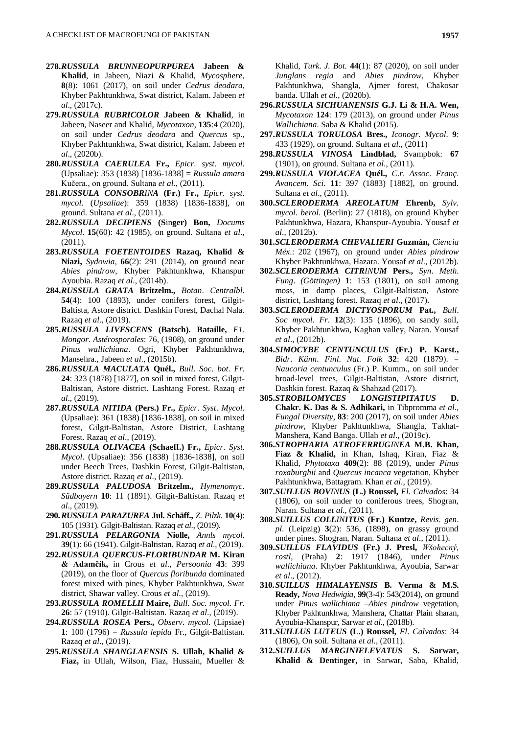- **278.***RUSSULA BRUNNEOPURPUREA* **Jabeen & Khalid**, in Jabeen, Niazi & Khalid, *Mycosphere*, **8**(8): 1061 (2017), on soil under *Cedrus deodara*, Khyber Pakhtunkhwa, Swat district, Kalam. Jabeen *et al*., (2017c).
- **279.***RUSSULA RUBRICOLOR* **Jabeen & Khalid**, in Jabeen, Naseer and Khalid, *Mycotaxon*, **135**:4 (2020), on soil under *Cedrus deodara* and *Quercus* sp., Khyber Pakhtunkhwa, Swat district, Kalam. Jabeen *et al*., (2020b).
- **280.***RUSSULA CAERULEA* **Fr.,** *Epicr*. *syst*. *mycol*. (Upsaliae): 353 (1838) [1836-1838] = *Russula amara* Kučera., on ground. Sultana *et al*., (2011).
- **281.***RUSSULA CONSOBRINA* **(Fr.) Fr.,** *Epicr*. *syst*. *mycol*. (*Upsaliae*): 359 (1838) [1836-1838], on ground. Sultana *et al*., (2011).
- **282.***RUSSULA DECIPIENS* **(S**in**ger) Bon,** *Docums Mycol*. **15**(60): 42 (1985), on ground. Sultana *et al*., (2011).
- **283.***RUSSULA FOETENTOIDES* **Razaq, Khalid & Niazi,** *Sydowia,* **66**(2): 291 (2014), on ground near *Abies pindrow*, Khyber Pakhtunkhwa, Khanspur Ayoubia. Razaq *et al*., (2014b).
- **284.***RUSSULA GRATA* **Britzelm.,** *Botan*. *Centralbl*. **54**(4): 100 (1893), under conifers forest, Gilgit-Baltista, Astore district. Dashkin Forest, Dachal Nala. Razaq *et al*., (2019).
- **285.***RUSSULA LIVESCENS* **(Batsch). Bataille,** *F1*. *Mongor*. *Astérosporales*: 76, (1908), on ground under *Pinus wallichiana*. Ogri, Khyber Pakhtunkhwa, Mansehra., Jabeen *et al*., (2015b).
- **286.***RUSSULA MACULATA* **Quél.,** *Bull*. *Soc*. *bot*. *Fr*. **24**: 323 (1878) [1877], on soil in mixed forest, Gilgit-Baltistan, Astore district. Lashtang Forest. Razaq *et al*., (2019).
- **287.***RUSSULA NITIDA* **(Pers.) Fr.,** *Epicr*. *Syst*. *Mycol*. (Upsaliae): 361 (1838) [1836-1838], on soil in mixed forest, Gilgit-Baltistan, Astore District, Lashtang Forest. Razaq *et al*., (2019).
- **288.***RUSSULA OLIVACEA* **(Schaeff.) Fr.,** *Epicr*. *Syst*. *Mycol*. (Upsaliae): 356 (1838) [1836-1838], on soil under Beech Trees, Dashkin Forest, Gilgit-Baltistan, Astore district. Razaq *et al*., (2019).
- **289.***RUSSULA PALUDOSA* **Britzelm.,** *Hymenomyc*. *Südbayern* **10**: 11 (1891). Gilgit-Baltistan. Razaq *et al*., (2019).
- **290.***RUSSULA PARAZUREA* **Jul. Schäff.,** *Z*. *Pilzk*. **10**(4): 105 (1931). Gilgit-Baltistan. Razaq *et al*., (2019).
- **291.***RUSSULA PELARGONIA* **Niolle,** *Annls mycol*. **39**(1): 66 (1941). Gilgit-Baltistan. Razaq *et al*., (2019).
- **292.***RUSSULA QUERCUS-FLORIBUNDAR* **M. Kiran & Adamčík,** in Crous *et al*., *Persoonia* **43**: 399 (2019), on the floor of *Quercus floribunda* dominated forest mixed with pines, Khyber Pakhtunkhwa, Swat district, Shawar valley. Crous *et al*., (2019).
- **293.***RUSSULA ROMELLII* **Maire,** *Bull*. *Soc*. *mycol*. *Fr*. **26**: 57 (1910). Gilgit-Baltistan. Razaq *et al*., (2019).
- **294.***RUSSULA ROSEA* **Pers.,** *Observ*. *mycol*. (Lipsiae) **1**: 100 (1796) = *Russula lepida* Fr., Gilgit-Baltistan. Razaq *et al*., (2019).
- **295.***RUSSULA SHANGLAENSIS* **S. Ullah, Khalid & Fiaz,** in Ullah, Wilson, Fiaz, Hussain, Mueller &

Khalid, *Turk. J. Bot.* **44**(1): 87 (2020), on soil under *Junglans regia* and *Abies pindrow*, Khyber Pakhtunkhwa, Shangla, Ajmer forest, Chakosar banda. Ullah *et al*., (2020b).

- **296.***RUSSULA SICHUANENSIS* **G.J. Li & H.A. Wen,** *Mycotaxon* **124**: 179 (2013), on ground under *Pinus Wallichiana*. Saba & Khalid (2015).
- **297.***RUSSULA TORULOSA* **Bres.,** *Iconogr*. *Mycol*. **9**: 433 (1929), on ground. Sultana *et al*., (2011)
- **298.***RUSSULA VINOSA* **Lindblad,** Svampbok: **67** (1901), on ground. Sultana *et al*., (2011).
- **299.***RUSSULA VIOLACEA* **Quél.,** *C*.*r*. *Assoc*. *Franç*. *Avancem*. *Sci*. **11**: 397 (1883) [1882], on ground. Sultana *et al*., (2011).
- **300.***SCLERODERMA AREOLATUM* **Ehrenb,** *Sylv*. *mycol*. *berol*. (Berlin): 27 (1818), on ground Khyber Pakhtunkhwa, Hazara, Khanspur-Ayoubia. Yousaf *et al*., (2012b).
- **301.***SCLERODERMA CHEVALIERI* **Guzmán,** *Ciencia Méx*.: 202 (1967), on ground under *Abies pindrow* Khyber Pakhtunkhwa, Hazara. Yousaf *et al*., (2012b).
- **302.***SCLERODERMA CITRINUM* **Pers.,** *Syn*. *Meth*. *Fung*. *(Göttingen)* **1**: 153 (1801), on soil among moss, in damp places, Gilgit-Baltistan, Astore district, Lashtang forest. Razaq *et al*., (2017).
- **303.***SCLERODERMA DICTYOSPORUM* **Pat.,** *Bull*. *Soc mycol*. *Fr*. **12**(3): 135 (1896), on sandy soil, Khyber Pakhtunkhwa, Kaghan valley, Naran. Yousaf *et al*., (2012b).
- **304.***SIMOCYBE CENTUNCULUS* **(Fr.) P. Karst.,**  *Bidr*. *Känn*. *Finl*. *Nat*. *Folk* **32**: 420 (1879). = *Naucoria centunculus* (Fr.) P. Kumm., on soil under broad-level trees, Gilgit-Baltistan, Astore district, Dashkin forest. Razaq & Shahzad (2017).
- **305.***STROBILOMYCES LONGISTIPITATUS* **D. Chakr. K. Das & S. Adhikari,** in Tibpromma *et al*., *Fungal Diversity*, **83**: 200 (2017), on soil under *Abies pindrow*, Khyber Pakhtunkhwa, Shangla, Takhat-Manshera, Kand Banga. Ullah *et al*., (2019c).
- **306.***STROPHARIA ATROFERRUGINEA* **M.B. Khan, Fiaz & Khalid,** in Khan, Ishaq, Kiran, Fiaz & Khalid, *Phytotaxa* **409**(2): 88 (2019), under *Pinus roxaburghii* and *Quercus incanca* vegetation, Khyber Pakhtunkhwa, Battagram. Khan *et al*., (2019).
- **307.***SUILLUS BOVINUS* **(L.) Roussel,** *Fl*. *Calvados*: 34 (1806), on soil under to coniferous trees, Shogran, Naran. Sultana *et al*., (2011).
- **308.***SUILLUS COLLINITUS* **(Fr.) Kuntze,** *Revis*. *gen*. *pl*. (Leipzig) **3**(2): 536, (1898), on grassy ground under pines. Shogran, Naran. Sultana *et al*., (2011).
- **309.***SUILLUS FLAVIDUS* **(Fr.) J. Presl,** *Wšohecný*, *rostl*, (Praha) **2**: 1917 (1846), under *Pinus wallichiana*. Khyber Pakhtunkhwa, Ayoubia, Sarwar *et al*., (2012).
- **310.***SUILLUS HIMALAYENSIS* **B. Verma & M.S. Ready,** *Nova Hedwigia,* **99**(3-4): 543(2014), on ground under *Pinus wallichiana* –*Abies pindrow* vegetation, Khyber Pakhtunkhwa, Manshera, Chattar Plain sharan, Ayoubia-Khanspur, Sarwar *et al*., (2018b).
- **311.***SUILLUS LUTEUS* **(L.) Roussel,** *Fl*. *Calvados*: 34 (1806), On soil. Sultana *et al*., (2011).
- **312.***SUILLUS MARGINIELEVATUS* **S. Sarwar, Khalid & Dent**in**ger,** in Sarwar, Saba, Khalid,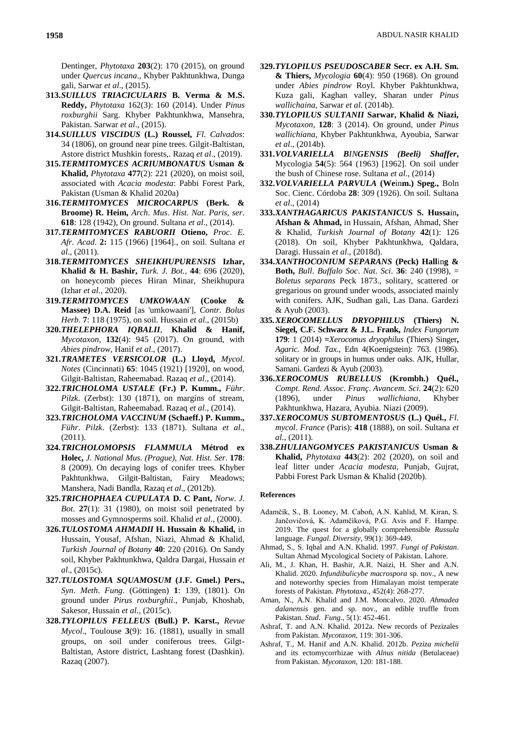Dentinger, *Phytotaxa* **203**(2): 170 (2015), on ground under *Quercus incana*., Khyber Pakhtunkhwa, Dunga gali, Sarwar *et al*., (2015).

- **313.***SUILLUS TRIACICULARIS* **B. Verma & M.S. Reddy,** *Phytotaxa* 162(3): 160 (2014). Under *Pinus roxburghii* Sarg. Khyber Pakhtunkhwa, Mansehra, Pakistan. Sarwar *et al*., (2015).
- **314.***SUILLUS VISCIDUS* **(L.) Roussel,** *Fl*. *Calvados*: 34 (1806), on ground near pine trees. Gilgit-Baltistan, Astore district Mushkin forests,. Razaq *et al*., (2019).
- **315.***TERMITOMYCES ACRIUMBONATUS* **Usman & Khalid,** *Phytotaxa* **477**(2): 221 (2020), on moist soil, associated with *Acacia modesta*: Pabbi Forest Park, Pakistan (Usman & Khalid 2020a)
- **316.***TERMITOMYCES MICROCARPUS* **(Berk. & Broome) R. Heim,** *Arch*. *Mus*. *Hist*. *Nat*. *Paris*, *ser*. **618**: 128 (1942), On ground. Sultana *et al*., (2014).
- **317.***TERMITOMYCES RABUORII* **Otieno,** *Proc*. *E*. *Afr*. *Acad*. **2:** 115 (1966) [1964]., on soil. Sultana *et al*., (2011).
- **318.***TERMITOMYCES SHEIKHUPURENSIS* **Izhar, Khalid & H. Bashir,** *Turk. J. Bot.,* **44**: 696 (2020), on honeycomb pieces Hiran Minar, Sheikhupura (Izhar *et al.,* 2020).
- **319.***TERMITOMYCES UMKOWAAN* **(Cooke & Massee) D.A. Reid** [as 'umkowaani'], *Contr. Bolus Herb*. **7**: 118 (1975), on soil. Hussain *et al*., (2015b)
- **320.***THELEPHORA IQBALII*, **Khalid & Hanif,** *Mycotaxon*, **132**(4): 945 (2017). On ground, with *Abies pindrow*, Hanif *et al*., (2017).
- **321.***TRAMETES VERSICOLOR* **(L.) Lloyd,** *Mycol*. *Notes* (Cincinnati) **65**: 1045 (1921) [1920], on wood, Gilgit-Baltistan, Raheemabad. Razaq *et al*., (2014).
- **322.***TRICHOLOMA USTALE* **(Fr.) P. Kumm.,** *Führ*. *Pilzk*. (Zerbst): 130 (1871), on margins of stream, Gilgit-Baltistan, Raheemabad. Razaq *et al*., (2014).
- **323.***TRICHOLOMA VACCINUM* **(Schaeff.) P. Kumm.,**  *Führ*. *Pilzk*. (Zerbst): 133 (1871). Sultana *et al*., (2011).
- **324.***TRICHOLOMOPSIS FLAMMULA* **Métrod ex Holec,** *J*. *National Mus*. *(Prague)*, *Nat*. *Hist*. *Ser*. **178**: 8 (2009). On decaying logs of conifer trees. Khyber Pakhtunkhwa, Gilgit-Baltistan, Fairy Meadows; Manshera, Nadi Bandla, Razaq *et al*., (2012b).
- **325.***TRICHOPHAEA CUPULATA* **D. C Pant,** *Norw*. *J*. *Bot*. **27**(1): 31 (1980), on moist soil penetrated by mosses and Gymnosperms soil. Khalid *et al*., (2000).
- **326.***TULOSTOMA AHMADII* **H. Hussain & Khalid,** in Hussain, Yousaf, Afshan, Niazi, Ahmad & Khalid, *Turkish Journal of Botany* **40**: 220 (2016). On Sandy soil, Khyber Pakhtunkhwa, Qaldra Dargai, Hussain *et al*., (2015c).
- **327.***TULOSTOMA SQUAMOSUM* **(J.F. Gmel.) Pers.,** *Syn*. *Meth*. *Fung*. (Göttingen) **1**: 139, (1801). On ground under *Pirus roxburghii*., Punjab, Khoshab, Sakesor, Hussain *et al*., (2015c).
- **328.***TYLOPILUS FELLEUS* **(Bull.) P. Karst.,** *Revue Mycol*., Toulouse **3**(9): 16. (1881), usually in small groups, on soil under coniferous trees. Gilgt-Baltistan, Astore district, Lashtang forest (Dashkin). Razaq (2007).
- **329.***TYLOPILUS PSEUDOSCABER* **Secr. ex A.H. Sm. & Thiers,** *Mycologia* **60**(4): 950 (1968). On ground under *Abies pindrow* Royl. Khyber Pakhtunkhwa, Kuza gali, Kaghan valley, Sharan under *Pinus wallichaina*, Sarwar *et al*. (2014b).
- **330.***TYLOPILUS SULTANII* **Sarwar, Khalid & Niazi,** *Mycotaxon*, **128**: 3 (2014). On ground, under *Pinus wallichiana*, Khyber Pakhtunkhwa, Ayoubia, Sarwar *et al*., (2014b).
- **331.***VOLVARIELLA BINGENSIS (Beeli) Shaffer***,** Mycologia **54**(5): 564 (1963) [1962]. On soil under the bush of Chinese rose. Sultana *et al*., (2014)
- **332.***VOLVARIELLA PARVULA* **(We**in**m.) Speg.,** Boln Soc. Cienc. Córdoba **28**: 309 (1926). On soil. Sultana *et al*., (2014)
- **333.***XANTHAGARICUS PAKISTANICUS* **S. Hussa**in**, Afshan & Ahmad,** in Hussain, Afshan, Ahmad, Sher & Khalid, *Turkish Journal of Botany* **42**(1): 126 (2018). On soil, Khyber Pakhtunkhwa, Qaldara, Daragi. Hussain *et al*., (2018d).
- **334.***XANTHOCONIUM SEPARANS* **(Peck) Hall**in**g & Both,** *Bull*. *Buffalo Soc*. *Nat*. *Sci*. **36**: 240 (1998), = *Boletus separans* Peck 1873., solitary, scattered or gregarious on ground under woods, associated mainly with conifers. AJK, Sudhan gali, Las Dana. Gardezi & Ayub (2003).
- **335.***XEROCOMELLUS DRYOPHILUS* **(Thiers) N. Siegel, C.F. Schwarz & J.L. Frank,** *Index Fungorum* **179**: 1 (2014) **=***Xerocomus dryophilus* (Thiers) Singer**,** *Agaric*. *Mod*. *Tax*., Edn 4(Koenigstein): 763. (1986). solitary or in groups in humus under oaks. AJK, Hullar, Samani. Gardezi & Ayub (2003).
- **336.***XEROCOMUS RUBELLUS* **(Krombh.) Quél.,** *Compt*. *Rend*. *Assoc*. *Franç*. *Avancem*. *Sci*. **24**(2): 620 (1896), under *Pinus wallichiana*, Khyber Pakhtunkhwa, Hazara, Ayubia. Niazi (2009).
- **337.***XEROCOMUS SUBTOMENTOSUS* **(L.) Quél.,** *Fl*. *mycol*. *France* (Paris): **418** (1888), on soil. Sultana *et al*., (2011).
- **338.***ZHULIANGOMYCES PAKISTANICUS* **Usman & Khalid,** *Phytotaxa* **443**(2): 202 (2020), on soil and leaf litter under *Acacia modesta*, Punjab, Gujrat, Pabbi Forest Park Usman & Khalid (2020b).

### **References**

- Adamčík, S., B. Looney, M. Caboň, A.N. Kahlid, M. Kiran, S. Jančovičová, K. Adamčíková, P.G. Avis and F. Hampe. 2019. The quest for a globally comprehensible *Russula*  language. *Fungal*. *Diversity*, 99(1): 369-449.
- Ahmad, S., S. Iqbal and A.N. Khalid. 1997. *Fungi of Pakistan*. Sultan Ahmad Mycological Society of Pakistan. Lahore.
- Ali, M., J. Khan, H. Bashir, A.R. Naizi, H. Sher and A.N. Khalid. 2020. *Infundibulicybe macrospora* sp. nov., A new and noteworthy species from Himalayan moist temperate forests of Pakistan. *Phytotaxa*., 452(4): 268-277.
- Aman, N., A.N. Khalid and J.M. Moncalvo. 2020. *Ahmadea dalanensis* gen. and sp. nov., an edible truffle from Pakistan. *Stud*. *Fung*., 5(1): 452-461.
- Ashraf, T. and A.N. Khalid. 2012a. New records of Pezizales from Pakistan. *Mycotaxon*, 119: 301-306.
- Ashraf, T., M. Hanif and A.N. Khalid. 2012b. *Peziza michelii*  and its ectomycorrhizae with *Alnus nitida* (Betulaceae) from Pakistan. *Mycotaxon*, 120: 181-188.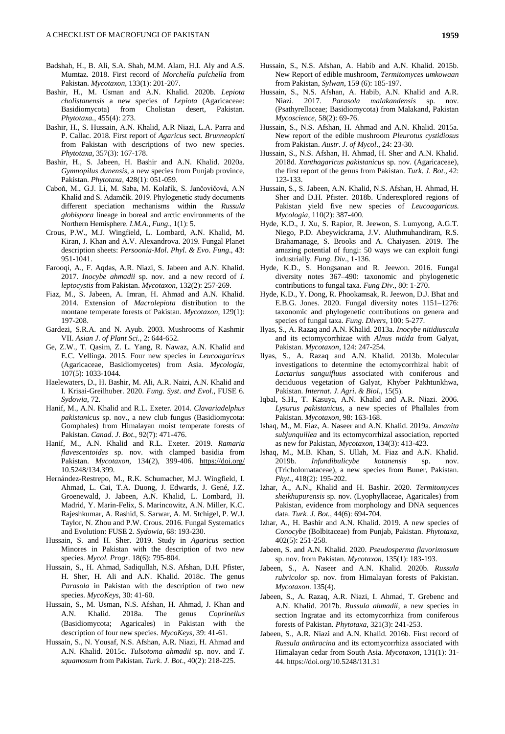- Badshah, H., B. Ali, S.A. Shah, M.M. Alam, H.I. Aly and A.S. Mumtaz. 2018. First record of *Morchella pulchella* from Pakistan. *Mycotaxon*, 133(1): 201-207.
- Bashir, H., M. Usman and A.N. Khalid. 2020b. *Lepiota cholistanensis* a new species of *Lepiota* (Agaricaceae: Basidiomycota) from Cholistan desert, Pakistan. *Phytotaxa.,* 455(4): 273.
- Bashir, H., S. Hussain, A.N. Khalid, A.R Niazi, L.A. Parra and P. Callac. 2018. First report of *Agaricus* sect. *Brunneopicti*  from Pakistan with descriptions of two new species. *Phytotaxa*, 357(3): 167-178.
- Bashir, H., S. Jabeen, H. Bashir and A.N. Khalid. 2020a. *Gymnopilus dunensis*, a new species from Punjab province, Pakistan. *Phytotaxa*, 428(1): 051-059.
- Caboň, M., G.J. Li, M. Saba, M. Kolařík, S. Jančovičová, A.N Khalid and S. Adamčík. 2019. Phylogenetic study documents different speciation mechanisms within the *Russula globispora* lineage in boreal and arctic environments of the Northern Hemisphere. *I.M.A.*, *Fung*., 1(1): 5.
- Crous, P.W., M.J. Wingfield, L. Lombard, A.N. Khalid, M. Kiran, J. Khan and A.V. Alexandrova. 2019. Fungal Planet description sheets: *Persoonia-Mol*. *Phyl*. *& Evo*. *Fung*., 43: 951-1041.
- Farooqi, A., F. Aqdas, A.R. Niazi, S. Jabeen and A.N. Khalid. 2017. *Inocybe ahmadii* sp. nov. and a new record of *I*. *leptocystis* from Pakistan. *Mycotaxon*, 132(2): 257-269.
- Fiaz, M., S. Jabeen, A. Imran, H. Ahmad and A.N. Khalid. 2014. Extension of *Macrolepiota* distribution to the montane temperate forests of Pakistan. *Mycotaxon*, 129(1): 197-208.
- Gardezi, S.R.A. and N. Ayub. 2003. Mushrooms of Kashmir VII. *Asian J*. *of Plant Sci.*, 2: 644-652.
- Ge, Z.W., T. Qasim, Z. L. Yang, R. Nawaz, A.N. Khalid and E.C. Vellinga. 2015. Four new species in *Leucoagaricus*  (Agaricaceae, Basidiomycetes) from Asia. *Mycologia*, 107(5): 1033-1044.
- Haelewaters, D., H. Bashir, M. Ali, A.R. Naizi, A.N. Khalid and I. Krisai-Greilhuber. 2020. *Fung*. *Syst*. *and Evol*., FUSE 6. *Sydowia*, 72.
- Hanif, M., A.N. Khalid and R.L. Exeter. 2014. *Clavariadelphus pakistanicus* sp. nov., a new club fungus (Basidiomycota: Gomphales) from Himalayan moist temperate forests of Pakistan. *Canad*. *J*. *Bot*., 92(7): 471-476.
- Hanif, M., A.N. Khalid and R.L. Exeter. 2019. *Ramaria flavescentoides* sp. nov. with clamped basidia from Pakistan. *Mycotaxon*, 134(2), 399-406. <https://doi.org/> 10.5248/134.399.
- Hernández-Restrepo, M., R.K. Schumacher, M.J. Wingfield, I. Ahmad, L. Cai, T.A. Duong, J. Edwards, J. Gené, J.Z. Groenewald, J. Jabeen, A.N. Khalid, L. Lombard, H. Madrid, Y. Marin-Felix, S. Marincowitz, A.N. Miller, K.C. Rajeshkumar, A. Rashid, S. Sarwar, A. M. Stchigel, P. W.J. Taylor, N. Zhou and P.W. Crous. 2016. Fungal Systematics and Evolution: FUSE 2. *Sydowia*, 68: 193-230.
- Hussain, S. and H. Sher. 2019. Study in *Agaricus* section Minores in Pakistan with the description of two new species. *Mycol. Progr.* 18(6): 795-804.
- Hussain, S., H. Ahmad, Sadiqullah, N.S. Afshan, D.H. Pfister, H. Sher, H. Ali and A.N. Khalid. 2018c. The genus *Parasola* in Pakistan with the description of two new species. *MycoKeys*, 30: 41-60.
- Hussain, S., M. Usman, N.S. Afshan, H. Ahmad, J. Khan and A.N. Khalid. 2018a. The genus *Coprinellus*  (Basidiomycota; Agaricales) in Pakistan with the description of four new species. *MycoKeys*, 39: 41-61.
- Hussain, S., N. Yousaf, N.S. Afshan, A.R. Niazi, H. Ahmad and A.N. Khalid. 2015c. *Tulsotoma ahmadii* sp. nov. and *T*. *squamosum* from Pakistan. *Turk*. *J*. *Bot*., 40(2): 218-225.
- Hussain, S., N.S. Afshan, A. Habib and A.N. Khalid. 2015b. New Report of edible mushroom, *Termitomyces umkowaan*  from Pakistan, *Sylwan*, 159 (6): 185-197.
- Hussain, S., N.S. Afshan, A. Habib, A.N. Khalid and A.R. Niazi. 2017. *Parasola malakandensis* sp. nov. (Psathyrellaceae; Basidiomycota) from Malakand, Pakistan *Mycoscience*, 58(2): 69-76.
- Hussain, S., N.S. Afshan, H. Ahmad and A.N. Khalid. 2015a. New report of the edible mushroom *Pleurotus cystidiosus*  from Pakistan. *Austr*. *J*. *of Mycol*., 24: 23-30.
- Hussain, S., N.S. Afshan, H. Ahmad, H. Sher and A.N. Khalid. 2018d. *Xanthagaricus pakistanicus* sp. nov. (Agaricaceae), the first report of the genus from Pakistan. *Turk*. *J*. *Bot*., 42: 123-133.
- Hussain, S., S. Jabeen, A.N. Khalid, N.S. Afshan, H. Ahmad, H. Sher and D.H. Pfister. 2018b. Underexplored regions of Pakistan yield five new species of *Leucoagaricus*. *Mycologia*, 110(2): 387-400.
- Hyde, K.D., J. Xu, S. Rapior, R. Jeewon, S. Lumyong, A.G.T. Niego, P.D. Abeywickrama, J.V. Aluthmuhandiram, R.S. Brahamanage, S. Brooks and A. Chaiyasen. 2019. The amazing potential of fungi: 50 ways we can exploit fungi industrially. *Fung*. *Div*., 1-136.
- Hyde, K.D., S. Hongsanan and R. Jeewon. 2016. Fungal diversity notes 367–490: taxonomic and phylogenetic contributions to fungal taxa. *Fung Div*., 80: 1-270.
- Hyde, K.D., Y. Dong, R. Phookamsak, R. Jeewon, D.J. Bhat and E.B.G. Jones. 2020. Fungal diversity notes 1151–1276: taxonomic and phylogenetic contributions on genera and species of fungal taxa. *Fung*. *Divers*, 100: 5-277.
- Ilyas, S., A. Razaq and A.N. Khalid. 2013a. *Inocybe nitidiuscula*  and its ectomycorrhizae with *Alnus nitida* from Galyat, Pakistan. *Mycotaxon*, 124: 247-254.
- Ilyas, S., A. Razaq and A.N. Khalid. 2013b. Molecular investigations to determine the ectomycorrhizal habit of *Lactarius sanguifluus* associated with coniferous and deciduous vegetation of Galyat, Khyber Pakhtunkhwa, Pakistan. *Internat*. *J*. *Agri*. *& Biol*., 15(5).
- Iqbal, S.H., T. Kasuya, A.N. Khalid and A.R. Niazi. 2006. *Lysurus pakistanicus*, a new species of Phallales from Pakistan. *Mycotaxon*, 98: 163-168.
- Ishaq, M., M. Fiaz, A. Naseer and A.N. Khalid. 2019a. *Amanita subjunquillea* and its ectomycorrhizal association, reported as new for Pakistan, *Mycotaxon*, 134(3): 413-423.
- Ishaq, M., M.B. Khan, S. Ullah, M. Fiaz and A.N. Khalid. 2019b. *Infundibulicybe kotanensis* sp. nov. (Tricholomataceae), a new species from Buner, Pakistan. *Phyt*., 418(2): 195-202.
- Izhar, A., A.N., Khalid and H. Bashir. 2020. *Termitomyces sheikhupurensis* sp. nov. (Lyophyllaceae, Agaricales) from Pakistan, evidence from morphology and DNA sequences data. *Turk. J. Bot.*, 44(6): 694-704.
- Izhar, A., H. Bashir and A.N. Khalid. 2019. A new species of *Conocybe* (Bolbitaceae) from Punjab, Pakistan. *Phytotaxa*, 402(5): 251-258.
- Jabeen, S. and A.N. Khalid. 2020. *Pseudosperma flavorimosum*  sp. nov. from Pakistan. *Mycotaxon*, 135(1): 183-193.
- Jabeen, S., A. Naseer and A.N. Khalid. 2020b. *Russula rubricolor* sp. nov. from Himalayan forests of Pakistan. *Mycotaxon*. 135(4).
- Jabeen, S., A. Razaq, A.R. Niazi, I. Ahmad, T. Grebenc and A.N. Khalid. 2017b. *Russula ahmadii*, a new species in section Ingratae and its ectomycorrhiza from coniferous forests of Pakistan. *Phytotaxa*, 321(3): 241-253.
- Jabeen, S., A.R. Niazi and A.N. Khalid. 2016b. First record of *Russula anthracina* and its ectomycorrhiza associated with Himalayan cedar from South Asia. *Mycotaxon*, 131(1): 31- 44. https://doi.org/10.5248/131.31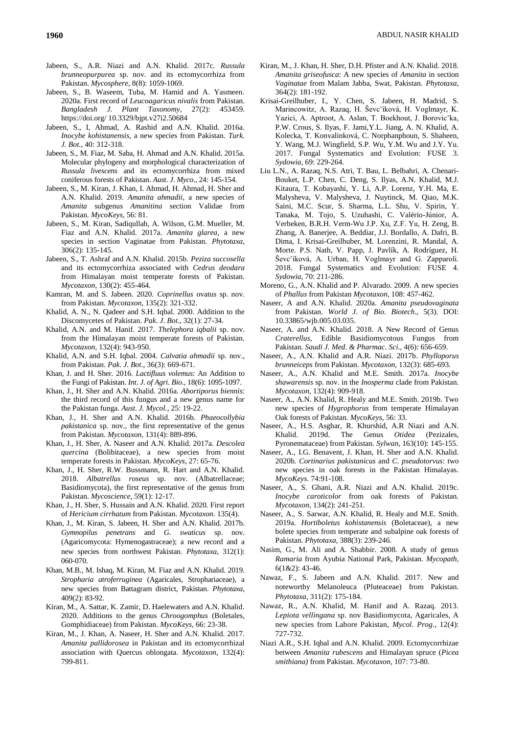- Jabeen, S., A.R. Niazi and A.N. Khalid. 2017c. *Russula brunneopurpurea* sp. nov. and its ectomycorrhiza from Pakistan. *Mycosphere*, 8(8): 1059-1069.
- Jabeen, S., B. Waseem, Tuba, M. Hamid and A. Yasmeen. 2020a. First record of *Leucoagaricus nivalis* from Pakistan. *Bangladesh J. Plant Taxonomy*, 27(2): 453459. https://doi.org/ 10.3329/bjpt.v27i2.50684
- Jabeen, S., I, Ahmad, A. Rashid and A.N. Khalid. 2016a. *Inocybe kohistanensis*, a new species from Pakistan. *Turk. J. Bot.*, 40: 312-318.
- Jabeen, S., M. Fiaz, M. Saba, H. Ahmad and A.N. Khalid. 2015a. Molecular phylogeny and morphological characterization of *Russula livescens* and its ectomycorrhiza from mixed coniferous forests of Pakistan. *Aust*. *J*. *Myco*., 24: 145-154.
- Jabeen, S., M. Kiran, J. Khan, I. Ahmad, H. Ahmad, H. Sher and A.N. Khalid. 2019. *Amanita ahmadii*, a new species of *Amanita* subgenus *Amanitina* section Validae from Pakistan. *MycoKeys*, 56: 81.
- Jabeen, S., M. Kiran, Sadiqullah, A. Wilson, G.M. Mueller, M. Fiaz and A.N. Khalid. 2017a. *Amanita glarea*, a new species in section Vaginatae from Pakistan. *Phytotaxa*, 306(2): 135-145.
- Jabeen, S., T. Ashraf and A.N. Khalid. 2015b. *Peziza succosella*  and its ectomycorrhiza associated with *Cedrus deodara*  from Himalayan moist temperate forests of Pakistan. *Mycotaxon*, 130(2): 455-464.
- Kamran, M. and S. Jabeen. 2020. *Coprinellus* ovatus sp. nov. from Pakistan. *Mycotaxon*, 135(2): 321-332.
- Khalid, A. N., N. Qadeer and S.H. Iqbal. 2000. Addition to the Discomycetes of Pakistan. *Pak*. *J*. *Bot*., 32(1): 27-34.
- Khalid, A.N. and M. Hanif. 2017. *Thelephora iqbalii* sp. nov. from the Himalayan moist temperate forests of Pakistan. *Mycotaxon*, 132(4): 943-950.
- Khalid, A.N. and S.H. Iqbal. 2004. *Calvatia ahmadii* sp. nov., from Pakistan. *Pak*. *J*. *Bot*., 36(3): 669-671.
- Khan, J. and H. Sher. 2016. *Lactifluus volemus*: An Addition to the Fungi of Pakistan. *Int*. *J*. *of Agri*. *Bio*., 18(6): 1095-1097.
- Khan, J., H. Sher and A.N. Khalid. 2016a. *Abortiporus biennis*: the third record of this fungus and a new genus name for the Pakistan funga. *Aust. J. Mycol.*, 25: 19-22.
- Khan, J., H. Sher and A.N. Khalid. 2016b. *Phaeocollybia pakistanica* sp. nov., the first representative of the genus from Pakistan. *Mycotaxon*, 131(4): 889-896.
- Khan, J., H. Sher, A. Naseer and A.N. Khalid. 2017a. *Descolea quercina* (Bolibitaceae), a new species from moist temperate forests in Pakistan. *MycoKeys*, 27: 65-76.
- Khan, J., H. Sher, R.W. Bussmann, R. Hart and A.N. Khalid. 2018. *Albatrellus roseus* sp. nov. (Albatrellaceae; Basidiomycota), the first representative of the genus from Pakistan. *Mycoscience*, 59(1): 12-17.
- Khan, J., H. Sher, S. Hussain and A.N. Khalid. 2020. First report of *Hericium cirrhatum* from Pakistan. *Mycotaxon*. 135(4).
- Khan, J., M. Kiran, S. Jabeen, H. Sher and A.N. Khalid. 2017b. *Gymnopilus penetrans* and *G*. *swaticus* sp. nov. (Agaricomycota: Hymenogastraceae); a new record and a new species from northwest Pakistan. *Phytotaxa*, 312(1): 060-070.
- Khan, M.B., M. Ishaq, M. Kiran, M. Fiaz and A.N. Khalid. 2019. *Stropharia atroferruginea* (Agaricales, Strophariaceae), a new species from Battagram district, Pakistan. *Phytotaxa*, 409(2): 83-92.
- Kiran, M., A. Sattar, K. Zamir, D. Haelewaters and A.N. Khalid. 2020. Additions to the genus *Chroogomphus* (Boletales, Gomphidiaceae) from Pakistan. *MycoKeys*, 66: 23-38.
- Kiran, M., J. Khan, A. Naseer, H. Sher and A.N. Khalid. 2017. *Amanita pallidorosea* in Pakistan and its ectomycorrhizal association with Quercus oblongata. *Mycotaxon*, 132(4): 799-811.
- Kiran, M., J. Khan, H. Sher, D.H. Pfister and A.N. Khalid. 2018. *Amanita griseofusca*: A new species of *Amanita* in section *Vaginatae* from Malam Jabba, Swat, Pakistan. *Phytotaxa*, 364(2): 181-192.
- Krisai-Greilhuber, I., Y. Chen, S. Jabeen, H. Madrid, S. Marincowitz, A. Razaq, H. Ševcˇíková, H. Voglmayr, K. Yazici, A. Aptroot, A. Aslan, T. Boekhout, J. Borovicˇka, P.W. Crous, S. Ilyas, F. Jami,Y.L. Jiang, A. N. Khalid, A. Kolecka, T. Konvalinková, C. Norphanphoun, S. Shaheen, Y. Wang, M.J. Wingfield, S.P. Wu, Y.M. Wu and J.Y. Yu. 2017. Fungal Systematics and Evolution: FUSE 3. *Sydowia*, 69: 229-264.
- Liu L.N., A. Razaq, N.S. Atri, T. Bau, L. Belbahri, A. Chenari-Bouket, L.P. Chen, C. Deng, S. Ilyas, A.N. Khalid, M.J. Kitaura, T. Kobayashi, Y. Li, A.P. Lorenz, Y.H. Ma, E. Malysheva, V. Malysheva, J. Nuytinck, M. Qiao, M.K. Saini, M.C. Scur, S. Sharma, L.L. Shu, V. Spirin, Y. Tanaka, M. Tojo, S. Uzuhashi, C. Valério-Júnior, A. Verbeken, B.R.H. Verm-Wu J.P. Xu, Z.F. Yu, H. Zeng, B. Zhang, A. Banerjee, A. Beddiar, J.J. Bordallo, A. Dafri, B. Dima, I. Krisai-Greilhuber, M. Lorenzini, R. Mandal, A. Morte. P.S. Nath, V. Papp, J. Pavlík, A. Rodríguez, H. Ševcˇíková, A. Urban, H. Voglmayr and G. Zapparoli. 2018. Fungal Systematics and Evolution: FUSE 4. *Sydowia*, 70: 211-286.
- Moreno, G., A.N. Khalid and P. Alvarado. 2009. A new species of *Phallus* from Pakistan *Mycotaxon*, 108: 457-462.
- Naseer, A and A.N. Khalid. 2020a. *Amanita pseudovaginata* from Pakistan. *World J*. *of Bio*. *Biotech*., 5(3). DOI: 10.33865/wjb.005.03.035.
- Naseer, A. and A.N. Khalid. 2018. A New Record of Genus *Craterellus*, Edible Basidiomycotous Fungus from Pakistan. *Saudi J*. *Med*. *& Pharmac*. *Sci*., 4(6): 656-659.
- Naseer, A., A.N. Khalid and A.R. Niazi. 2017b. *Phylloporus brunneiceps* from Pakistan. *Mycotaxon*, 132(3): 685-693.
- Naseer, A., A.N. Khalid and M.E. Smith. 2017a. *Inocybe shawarensis* sp. nov. in the *Inosperma* clade from Pakistan. *Mycotaxon*, 132(4): 909-918.
- Naseer, A., A.N. Khalid, R. Healy and M.E. Smith. 2019b. Two new species of *Hygrophorus* from temperate Himalayan Oak forests of Pakistan. *MycoKeys*, 56: 33.
- Naseer, A., H.S. Asghar, R. Khurshid, A.R Niazi and A.N. Khalid. 2019d. The Genus *Otidea* (Pezizales, Pyronemataceae) from Pakistan. *Sylwan*, 163(10): 145-155.
- Naseer, A., I.G. Benavent, J. Khan, H. Sher and A.N. Khalid. 2020b. *Cortinarius pakistanicus* and *C*. *pseudotorvus*: two new species in oak forests in the Pakistan Himalayas. *MycoKeys*. 74:91-108.
- Naseer, A., S. Ghani, A.R. Niazi and A.N. Khalid. 2019c. *Inocybe caroticolor* from oak forests of Pakistan. *Mycotaxon*, 134(2): 241-251.
- Naseer, A., S. Sarwar, A.N. Khalid, R. Healy and M.E. Smith. 2019a. *Hortiboletus kohistanensis* (Boletaceae), a new bolete species from temperate and subalpine oak forests of Pakistan. *Phytotaxa*, 388(3): 239-246.
- Nasim, G., M. Ali and A. Shabbir. 2008. A study of genus *Ramaria* from Ayubia National Park, Pakistan. *Mycopath*, 6(1&2): 43-46.
- Nawaz, F., S. Jabeen and A.N. Khalid. 2017. New and noteworthy Melanoleuca (Pluteaceae) from Pakistan. *Phytotaxa*, 311(2): 175-184.
- Nawaz, R., A.N. Khalid, M. Hanif and A. Razaq. 2013. *Lepiota vellingana* sp. nov Basidiomycota, Agaricales, A new species from Lahore Pakistan, *Mycol*. *Prog*., 12(4): 727-732.
- Niazi A.R., S.H. Iqbal and A.N. Khalid. 2009. Ectomycorrhizae between *Amanita rubescens* and Himalayan spruce (*Picea smithiana)* from Pakistan. *Mycotaxon*, 107: 73-80.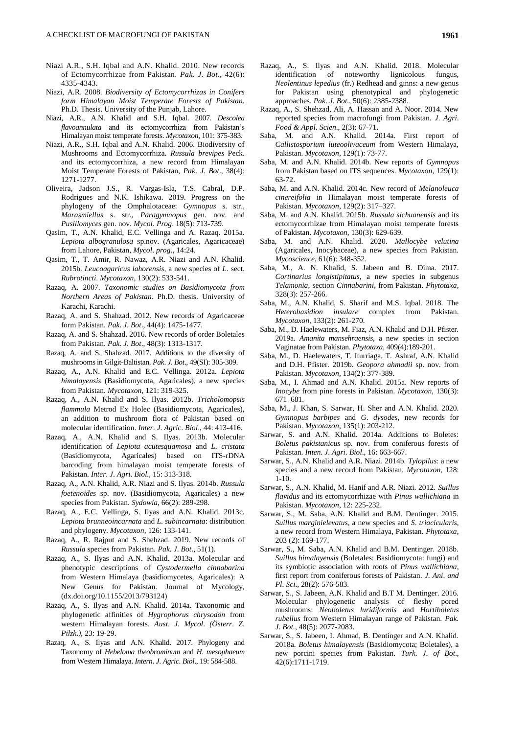- Niazi A.R., S.H. Iqbal and A.N. Khalid. 2010. New records of Ectomycorrhizae from Pakistan. *Pak*. *J*. *Bot*., 42(6): 4335-4343.
- Niazi, A.R. 2008. *Biodiversity of Ectomycorrhizas in Conifers form Himalayan Moist Temperate Forests of Pakistan.* Ph.D. Thesis. University of the Punjab, Lahore.
- Niazi, A.R., A.N. Khalid and S.H. Iqbal. 2007. *Descolea flavoannulata* and its ectomycorrhiza from Pakistan's Himalayan moist temperate forests. *Mycotaxon*, 101: 375-383.
- Niazi, A.R., S.H. Iqbal and A.N. Khalid. 2006. Biodiversity of Mushrooms and Ectomycorrhiza. *Russula brevipes* Peck. and its ectomycorrhiza, a new record from Himalayan Moist Temperate Forests of Pakistan, *Pak*. *J*. *Bot*., 38(4): 1271-1277.
- Oliveira, Jadson J.S., R. Vargas-Isla, T.S. Cabral, D.P. Rodrigues and N.K. Ishikawa. 2019. Progress on the phylogeny of the Omphalotaceae: *Gymnopus* s. str., *Marasmiellus* s. str., *Paragymnopus* gen. nov. and *Pusillomyces* gen. nov. *Mycol*. *Prog*. 18(5): 713-739.
- Qasim, T., A.N. Khalid, E.C. Vellinga and A. Razaq. 2015a. *Lepiota albogranulosa* sp.nov. (Agaricales, Agaricaceae) from Lahore, Pakistan, *Mycol*. *prog*., 14:24.
- Qasim, T., T. Amir, R. Nawaz, A.R. Niazi and A.N. Khalid. 2015b. *Leucoagaricus lahorensis*, a new species of *L*. sect. *Rubrotincti*. *Mycotaxon*, 130(2): 533-541.
- Razaq, A. 2007. *Taxonomic studies on Basidiomycota from Northern Areas of Pakistan*. Ph.D. thesis. University of Karachi, Karachi.
- Razaq, A. and S. Shahzad. 2012. New records of Agaricaceae form Pakistan. *Pak*. *J*. *Bot*., 44(4): 1475-1477.
- Razaq, A. and S. Shahzad. 2016. New records of order Boletales from Pakistan. *Pak*. *J*. *Bot*., 48(3): 1313-1317.
- Razaq, A. and S. Shahzad. 2017. Additions to the diversity of mushrooms in Gilgit-Baltistan. *Pak*. *J*. *Bot*., 49(SI): 305-309.
- Razaq, A., A.N. Khalid and E.C. Vellinga. 2012a. *Lepiota himalayensis* (Basidiomycota, Agaricales), a new species from Pakistan. *Mycotaxon*, 121: 319-325.
- Razaq, A., A.N. Khalid and S. Ilyas. 2012b. *Tricholomopsis flammula* Metrod Ex Holec (Basidiomycota, Agaricales), an addition to mushroom flora of Pakistan based on molecular identification. *Inter*. *J*. *Agric*. *Biol*., 44: 413-416.
- Razaq, A., A.N. Khalid and S. Ilyas. 2013b. Molecular identification of *Lepiota acutesquamosa* and *L*. *cristata*  (Basidiomycota, Agaricales) based on ITS-rDNA barcoding from himalayan moist temperate forests of Pakistan. *Inter*. *J*. *Agri*. *Biol*., 15: 313-318.
- Razaq, A., A.N. Khalid, A.R. Niazi and S. Ilyas. 2014b. *Russula foetenoides* sp. nov. (Basidiomycota, Agaricales) a new species from Pakistan. *Sydowia*, 66(2): 289-298.
- Razaq, A., E.C. Vellinga, S. Ilyas and A.N. Khalid. 2013c. *Lepiota brunneoincarnata* and *L*. *subincarnata*: distribution and phylogeny. *Mycotaxon*, 126: 133-141.
- Razaq, A., R. Rajput and S. Shehzad. 2019. New records of *Russula* species from Pakistan. *Pak*. *J*. *Bot*., 51(1).
- Razaq, A., S. Ilyas and A.N. Khalid. 2013a. Molecular and phenotypic descriptions of *Cystodermella cinnabarina* from Western Himalaya (basidiomycetes, Agaricales): A New Genus for Pakistan. Journal of Mycology, (dx.doi.org/10.1155/2013/793124)
- Razaq, A., S. Ilyas and A.N. Khalid. 2014a. Taxonomic and phylogenetic affinities of *Hygrophorus chrysodon* from western Himalayan forests. *Aust*. *J*. *Mycol*. *(Österr*. *Z*. *Pilzk*.*)*, 23: 19-29.
- Razaq, A., S. Ilyas and A.N. Khalid. 2017. Phylogeny and Taxonomy of *Hebeloma theobrominum* and *H*. *mesophaeum*  from Western Himalaya. *Intern*. *J*. *Agric*. *Biol*., 19: 584-588.
- Razaq, A., S. Ilyas and A.N. Khalid. 2018. Molecular identification of noteworthy lignicolous fungus, *Neolentinus lepedius* (fr.) Redhead and ginns: a new genus for Pakistan using phenotypical and phylogenetic approaches. *Pak*. *J*. *Bot*., 50(6): 2385-2388.
- Razaq, A., S. Shehzad, Ali, A. Hassan and A. Noor. 2014. New reported species from macrofungi from Pakistan. *J*. *Agri*. *Food & Appl*. *Scien*., 2(3): 67-71.
- Saba, M. and A.N. Khalid. 2014a. First report of *Callistosporium luteoolivaceum* from Western Himalaya, Pakistan. *Mycotaxon*, 129(1): 73-77.
- Saba, M. and A.N. Khalid. 2014b. New reports of *Gymnopus*  from Pakistan based on ITS sequences. *Mycotaxon*, 129(1): 63-72.
- Saba, M. and A.N. Khalid. 2014c. New record of *Melanoleuca cinereifolia* in Himalayan moist temperate forests of Pakistan. *Mycotaxon*, 129(2): 317–327.
- Saba, M. and A.N. Khalid. 2015b. *Russula sichuanensis* and its ectomycorrhizae from Himalayan moist temperate forests of Pakistan. *Mycotaxon*, 130(3): 629-639.
- Saba, M. and A.N. Khalid. 2020. *Mallocybe velutina* (Agaricales, Inocybaceae), a new species from Pakistan. *Mycoscience*, 61(6): 348-352.
- Saba, M., A. N. Khalid, S. Jabeen and B. Dima. 2017. *Cortinarius longistipitatus*, a new species in subgenus *Telamonia*, section *Cinnabarini*, from Pakistan. *Phytotaxa*, 328(3): 257-266.
- Saba, M., A.N. Khalid, S. Sharif and M.S. Iqbal. 2018. The *Heterobasidion insulare* complex from Pakistan. *Mycotaxon*, 133(2): 261-270.
- Saba, M., D. Haelewaters, M. Fiaz, A.N. Khalid and D.H. Pfister. 2019a. *Amanita mansehraensis*, a new species in section Vaginatae from Pakistan. *Phytotaxa*, 409(4):189-201.
- Saba, M., D. Haelewaters, T. Iturriaga, T. Ashraf, A.N. Khalid and D.H. Pfister. 2019b. *Geopora ahmadii* sp. nov. from Pakistan. *Mycotaxon*, 134(2): 377-389.
- Saba, M., I. Ahmad and A.N. Khalid. 2015a. New reports of *Inocybe* from pine forests in Pakistan. *Mycotaxon*, 130(3): 671–681.
- Saba, M., J. Khan, S. Sarwar, H. Sher and A.N. Khalid. 2020. *Gymnopus barbipes* and *G*. *dysodes*, new records for Pakistan. *Mycotaxon*, 135(1): 203-212.
- Sarwar, S. and A.N. Khalid. 2014a. Additions to Boletes: *Boletus pakistanicus* sp. nov. from coniferous forests of Pakistan. *Inten*. *J*. *Agri*. *Biol*., 16: 663-667.
- Sarwar, S., A.N. Khalid and A.R. Niazi. 2014b. *Tylopilus*: a new species and a new record from Pakistan. *Mycotaxon*, 128: 1-10.
- Sarwar, S., A.N. Khalid, M. Hanif and A.R. Niazi. 2012. *Suillus flavidus* and its ectomycorrhizae with *Pinus wallichiana* in Pakistan. *Mycotaxon*, 12: 225-232.
- Sarwar, S., M. Saba, A.N. Khalid and B.M. Dentinger. 2015. *Suillus marginielevatus*, a new species and *S*. *triacicularis*, a new record from Western Himalaya, Pakistan. *Phytotaxa*, 203 (2): 169-177.
- Sarwar, S., M. Saba, A.N. Khalid and B.M. Dentinger. 2018b. *Suillus himalayensis* (Boletales: Basidiomycota: fungi) and its symbiotic association with roots of *Pinus wallichiana*, first report from coniferous forests of Pakistan. *J*. *Ani*. *and Pl*. *Sci*., 28(2): 576-583.
- Sarwar, S., S. Jabeen, A.N. Khalid and B.T M. Dentinger. 2016. Molecular phylogenetic analysis of fleshy pored mushrooms: *Neoboletus luridiformis* and *Hortiboletus rubellus* from Western Himalayan range of Pakistan. *Pak. J. Bot.*, 48(5): 2077-2083.
- Sarwar, S., S. Jabeen, I. Ahmad, B. Dentinger and A.N. Khalid. 2018a. *Boletus himalayensis* (Basidiomycota; Boletales), a new porcini species from Pakistan. *Turk*. *J*. *of Bot*., 42(6):1711-1719.